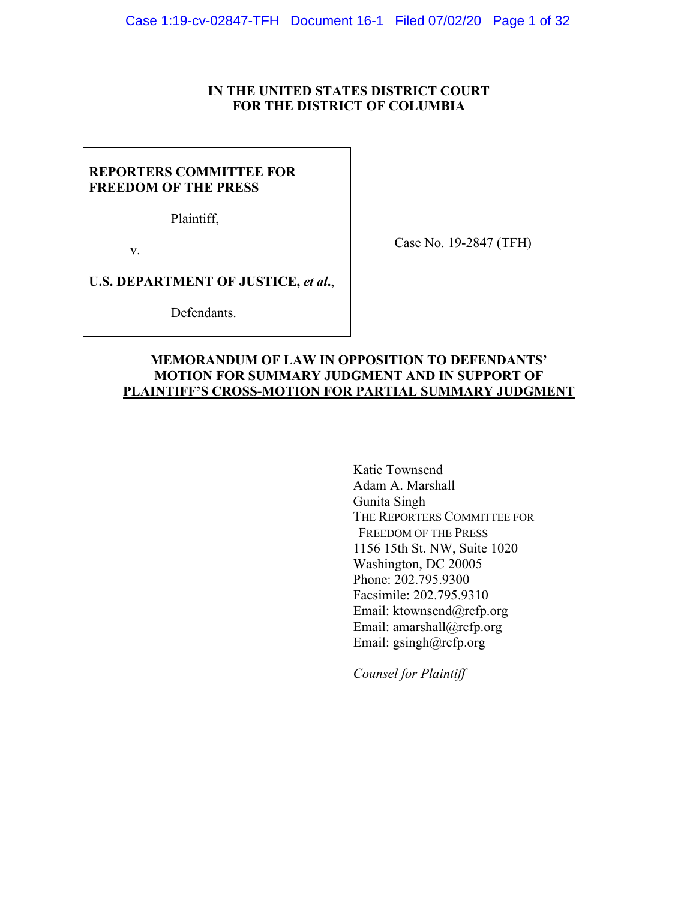## **IN THE UNITED STATES DISTRICT COURT FOR THE DISTRICT OF COLUMBIA**

## **REPORTERS COMMITTEE FOR FREEDOM OF THE PRESS**

Plaintiff,

v.

Case No. 19-2847 (TFH)

**U.S. DEPARTMENT OF JUSTICE,** *et al***.**,

Defendants.

## **MEMORANDUM OF LAW IN OPPOSITION TO DEFENDANTS' MOTION FOR SUMMARY JUDGMENT AND IN SUPPORT OF PLAINTIFF'S CROSS-MOTION FOR PARTIAL SUMMARY JUDGMENT**

Katie Townsend Adam A. Marshall Gunita Singh THE REPORTERS COMMITTEE FOR FREEDOM OF THE PRESS 1156 15th St. NW, Suite 1020 Washington, DC 20005 Phone: 202.795.9300 Facsimile: 202.795.9310 Email: ktownsend@rcfp.org Email: amarshall@rcfp.org Email: gsingh@rcfp.org

*Counsel for Plaintiff*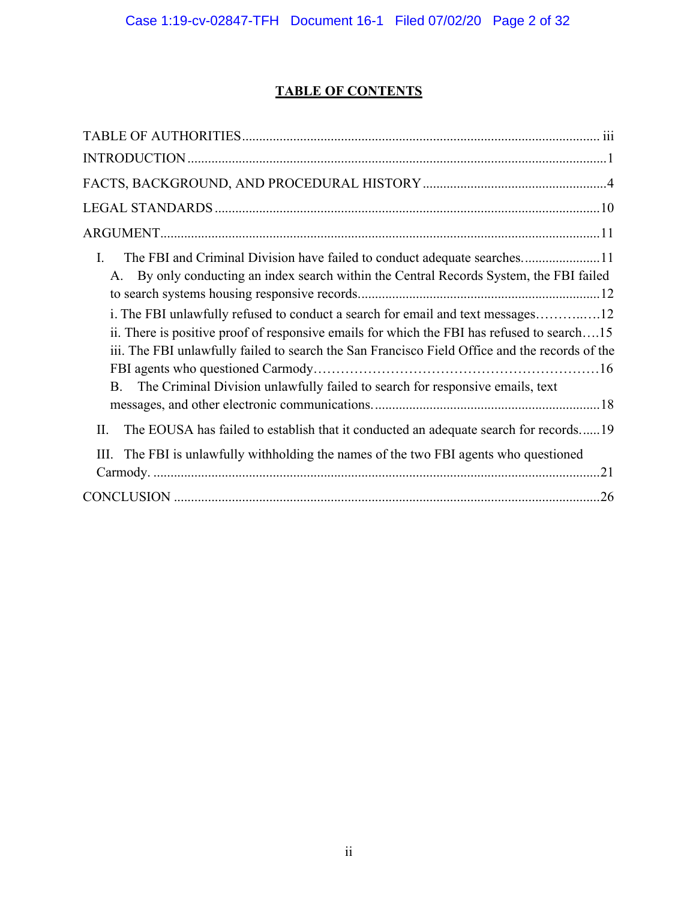# **TABLE OF CONTENTS**

| I.<br>The FBI and Criminal Division have failed to conduct adequate searches11<br>A. By only conducting an index search within the Central Records System, the FBI failed<br>i. The FBI unlawfully refused to conduct a search for email and text messages12<br>ii. There is positive proof of responsive emails for which the FBI has refused to search15<br>iii. The FBI unlawfully failed to search the San Francisco Field Office and the records of the<br>The Criminal Division unlawfully failed to search for responsive emails, text<br>B. |
|-----------------------------------------------------------------------------------------------------------------------------------------------------------------------------------------------------------------------------------------------------------------------------------------------------------------------------------------------------------------------------------------------------------------------------------------------------------------------------------------------------------------------------------------------------|
| The EOUSA has failed to establish that it conducted an adequate search for records19<br>П.                                                                                                                                                                                                                                                                                                                                                                                                                                                          |
| The FBI is unlawfully withholding the names of the two FBI agents who questioned<br>III.                                                                                                                                                                                                                                                                                                                                                                                                                                                            |
|                                                                                                                                                                                                                                                                                                                                                                                                                                                                                                                                                     |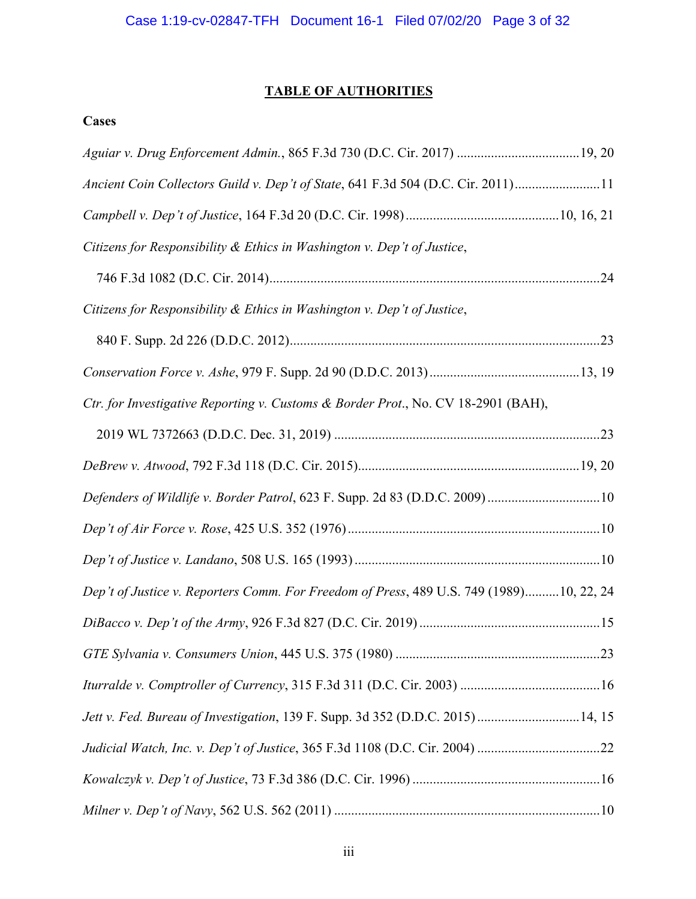# **TABLE OF AUTHORITIES**

# **Cases**

| Aguiar v. Drug Enforcement Admin., 865 F.3d 730 (D.C. Cir. 2017)  19, 20                |
|-----------------------------------------------------------------------------------------|
| Ancient Coin Collectors Guild v. Dep't of State, 641 F.3d 504 (D.C. Cir. 2011)11        |
|                                                                                         |
| Citizens for Responsibility & Ethics in Washington v. Dep't of Justice,                 |
|                                                                                         |
| Citizens for Responsibility & Ethics in Washington v. Dep't of Justice,                 |
|                                                                                         |
|                                                                                         |
| Ctr. for Investigative Reporting v. Customs & Border Prot., No. CV 18-2901 (BAH),       |
|                                                                                         |
|                                                                                         |
| Defenders of Wildlife v. Border Patrol, 623 F. Supp. 2d 83 (D.D.C. 2009) 10             |
|                                                                                         |
|                                                                                         |
| Dep't of Justice v. Reporters Comm. For Freedom of Press, 489 U.S. 749 (1989)10, 22, 24 |
|                                                                                         |
|                                                                                         |
|                                                                                         |
| Jett v. Fed. Bureau of Investigation, 139 F. Supp. 3d 352 (D.D.C. 2015) 14, 15          |
|                                                                                         |
|                                                                                         |
|                                                                                         |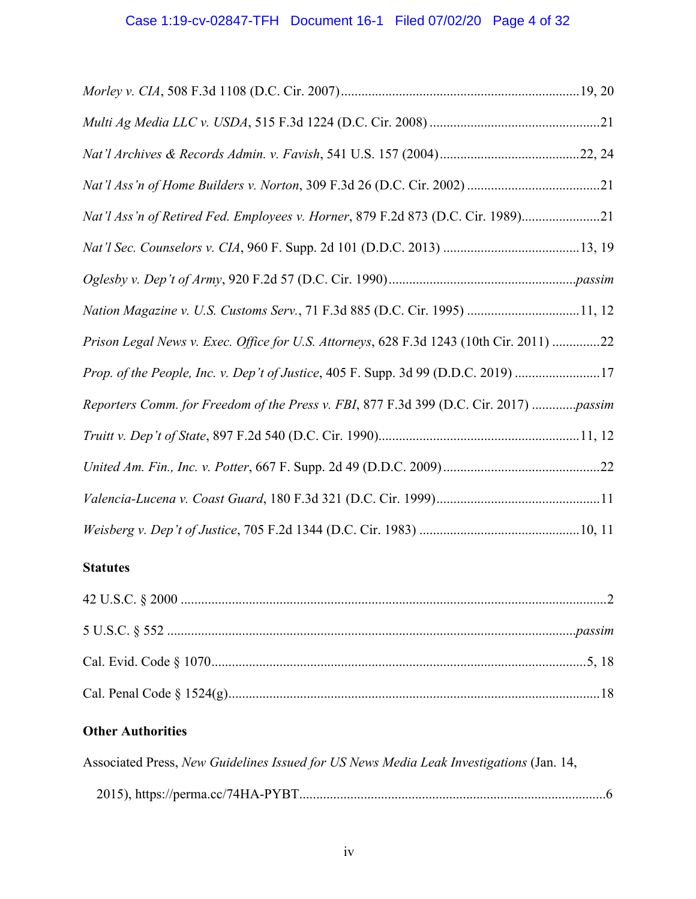# Case 1:19-cv-02847-TFH Document 16-1 Filed 07/02/20 Page 4 of 32

| Nat'l Ass'n of Retired Fed. Employees v. Horner, 879 F.2d 873 (D.C. Cir. 1989)21        |
|-----------------------------------------------------------------------------------------|
|                                                                                         |
|                                                                                         |
| Nation Magazine v. U.S. Customs Serv., 71 F.3d 885 (D.C. Cir. 1995) 11, 12              |
| Prison Legal News v. Exec. Office for U.S. Attorneys, 628 F.3d 1243 (10th Cir. 2011) 22 |
| Prop. of the People, Inc. v. Dep't of Justice, 405 F. Supp. 3d 99 (D.D.C. 2019) 17      |
| Reporters Comm. for Freedom of the Press v. FBI, 877 F.3d 399 (D.C. Cir. 2017) passim   |
|                                                                                         |
|                                                                                         |
|                                                                                         |
|                                                                                         |

# **Statutes**

# **Other Authorities**

| Associated Press, New Guidelines Issued for US News Media Leak Investigations (Jan. 14, |  |
|-----------------------------------------------------------------------------------------|--|
|                                                                                         |  |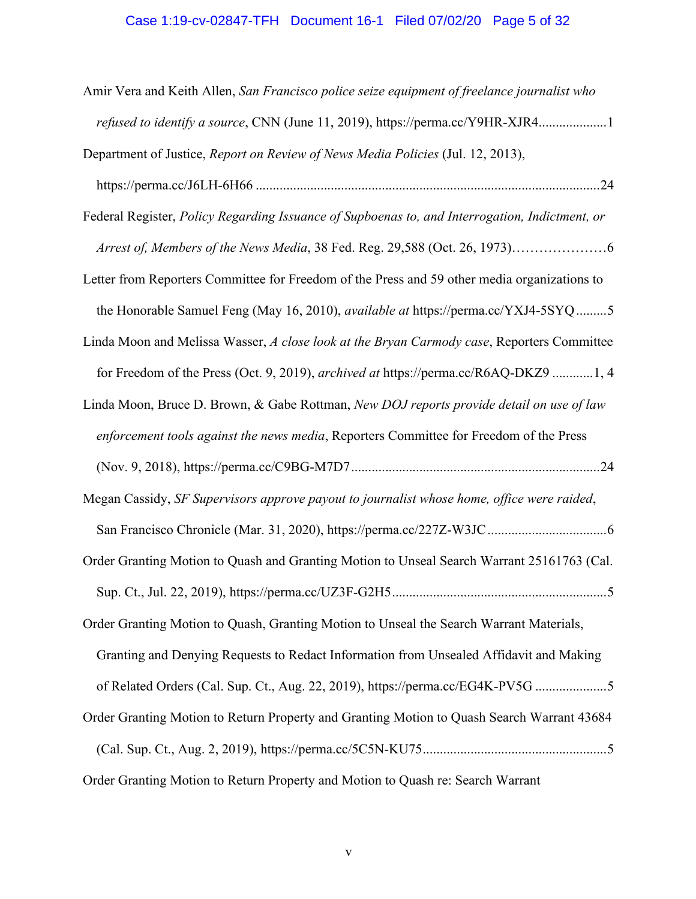# Case 1:19-cv-02847-TFH Document 16-1 Filed 07/02/20 Page 5 of 32

| Amir Vera and Keith Allen, San Francisco police seize equipment of freelance journalist who    |
|------------------------------------------------------------------------------------------------|
| refused to identify a source, CNN (June 11, 2019), https://perma.cc/Y9HR-XJR41                 |
| Department of Justice, Report on Review of News Media Policies (Jul. 12, 2013),                |
|                                                                                                |
| Federal Register, Policy Regarding Issuance of Supboenas to, and Interrogation, Indictment, or |
|                                                                                                |
| Letter from Reporters Committee for Freedom of the Press and 59 other media organizations to   |
| the Honorable Samuel Feng (May 16, 2010), available at https://perma.cc/YXJ4-5SYQ 5            |
| Linda Moon and Melissa Wasser, A close look at the Bryan Carmody case, Reporters Committee     |
| for Freedom of the Press (Oct. 9, 2019), archived at https://perma.cc/R6AQ-DKZ9 1, 4           |
| Linda Moon, Bruce D. Brown, & Gabe Rottman, New DOJ reports provide detail on use of law       |
| enforcement tools against the news media, Reporters Committee for Freedom of the Press         |
|                                                                                                |
| Megan Cassidy, SF Supervisors approve payout to journalist whose home, office were raided,     |
|                                                                                                |
| Order Granting Motion to Quash and Granting Motion to Unseal Search Warrant 25161763 (Cal.     |
|                                                                                                |
| Order Granting Motion to Quash, Granting Motion to Unseal the Search Warrant Materials,        |
| Granting and Denying Requests to Redact Information from Unsealed Affidavit and Making         |
| of Related Orders (Cal. Sup. Ct., Aug. 22, 2019), https://perma.cc/EG4K-PV5G 5                 |
| Order Granting Motion to Return Property and Granting Motion to Quash Search Warrant 43684     |
|                                                                                                |
| Order Granting Motion to Return Property and Motion to Quash re: Search Warrant                |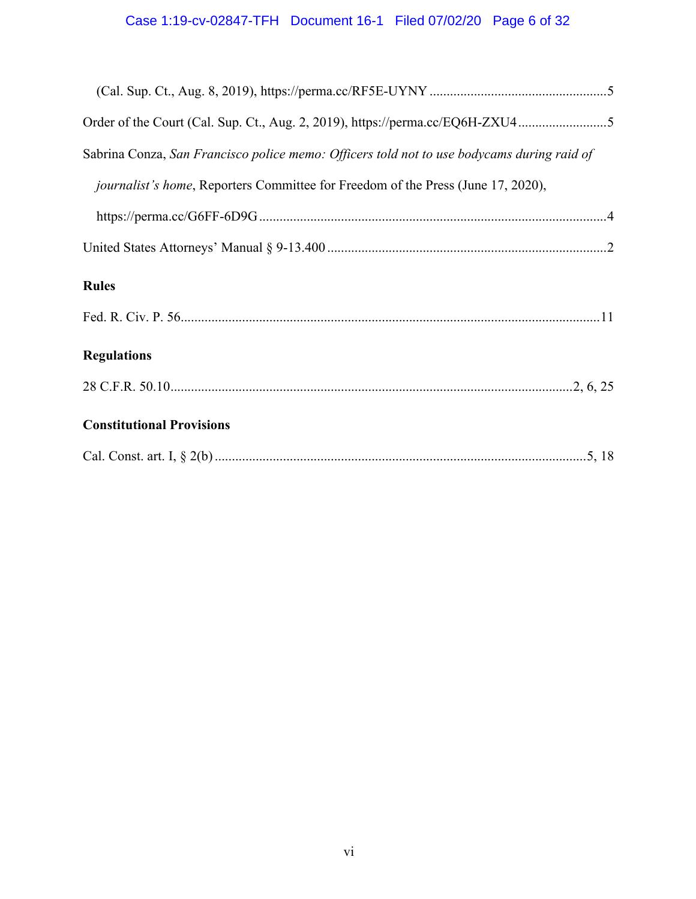| Order of the Court (Cal. Sup. Ct., Aug. 2, 2019), https://perma.cc/EQ6H-ZXU45              |
|--------------------------------------------------------------------------------------------|
| Sabrina Conza, San Francisco police memo: Officers told not to use bodycams during raid of |
| <i>journalist's home</i> , Reporters Committee for Freedom of the Press (June 17, 2020),   |
|                                                                                            |
|                                                                                            |
| <b>Rules</b>                                                                               |
|                                                                                            |
| <b>Regulations</b>                                                                         |
|                                                                                            |
| <b>Constitutional Provisions</b>                                                           |
|                                                                                            |
|                                                                                            |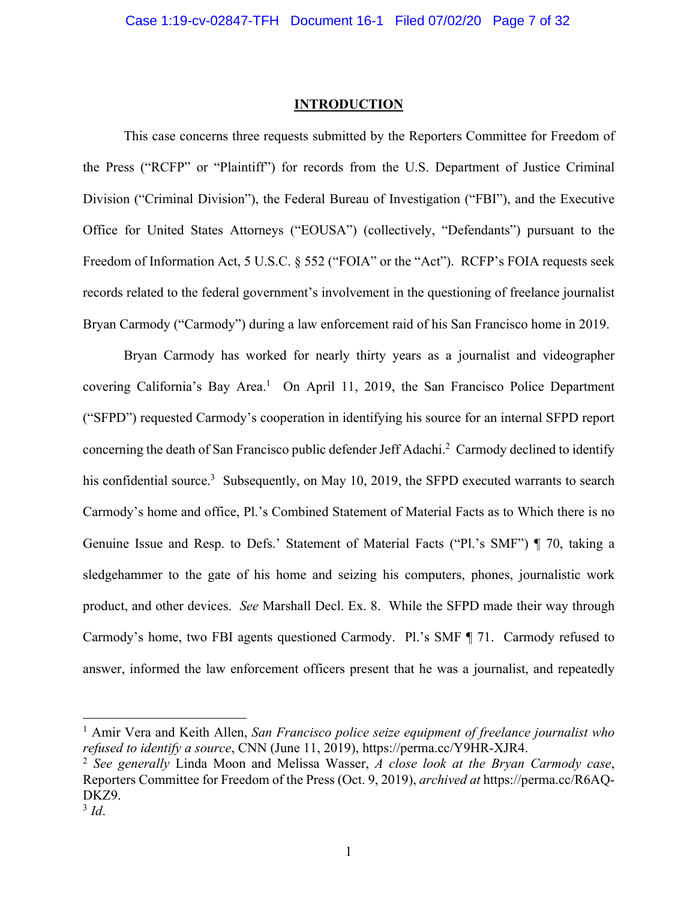## **INTRODUCTION**

This case concerns three requests submitted by the Reporters Committee for Freedom of the Press ("RCFP" or "Plaintiff") for records from the U.S. Department of Justice Criminal Division ("Criminal Division"), the Federal Bureau of Investigation ("FBI"), and the Executive Office for United States Attorneys ("EOUSA") (collectively, "Defendants") pursuant to the Freedom of Information Act, 5 U.S.C. § 552 ("FOIA" or the "Act"). RCFP's FOIA requests seek records related to the federal government's involvement in the questioning of freelance journalist Bryan Carmody ("Carmody") during a law enforcement raid of his San Francisco home in 2019.

Bryan Carmody has worked for nearly thirty years as a journalist and videographer covering California's Bay Area.<sup>1</sup> On April 11, 2019, the San Francisco Police Department ("SFPD") requested Carmody's cooperation in identifying his source for an internal SFPD report concerning the death of San Francisco public defender Jeff Adachi.<sup>2</sup> Carmody declined to identify his confidential source.<sup>3</sup> Subsequently, on May 10, 2019, the SFPD executed warrants to search Carmody's home and office, Pl.'s Combined Statement of Material Facts as to Which there is no Genuine Issue and Resp. to Defs.' Statement of Material Facts ("Pl.'s SMF") ¶ 70, taking a sledgehammer to the gate of his home and seizing his computers, phones, journalistic work product, and other devices. *See* Marshall Decl. Ex. 8. While the SFPD made their way through Carmody's home, two FBI agents questioned Carmody. Pl.'s SMF ¶ 71. Carmody refused to answer, informed the law enforcement officers present that he was a journalist, and repeatedly

<sup>1</sup> Amir Vera and Keith Allen, *San Francisco police seize equipment of freelance journalist who refused to identify a source*, CNN (June 11, 2019), https://perma.cc/Y9HR-XJR4.

<sup>2</sup> *See generally* Linda Moon and Melissa Wasser, *A close look at the Bryan Carmody case*, Reporters Committee for Freedom of the Press (Oct. 9, 2019), *archived at* https://perma.cc/R6AQ-DKZ9.

<sup>3</sup> *Id*.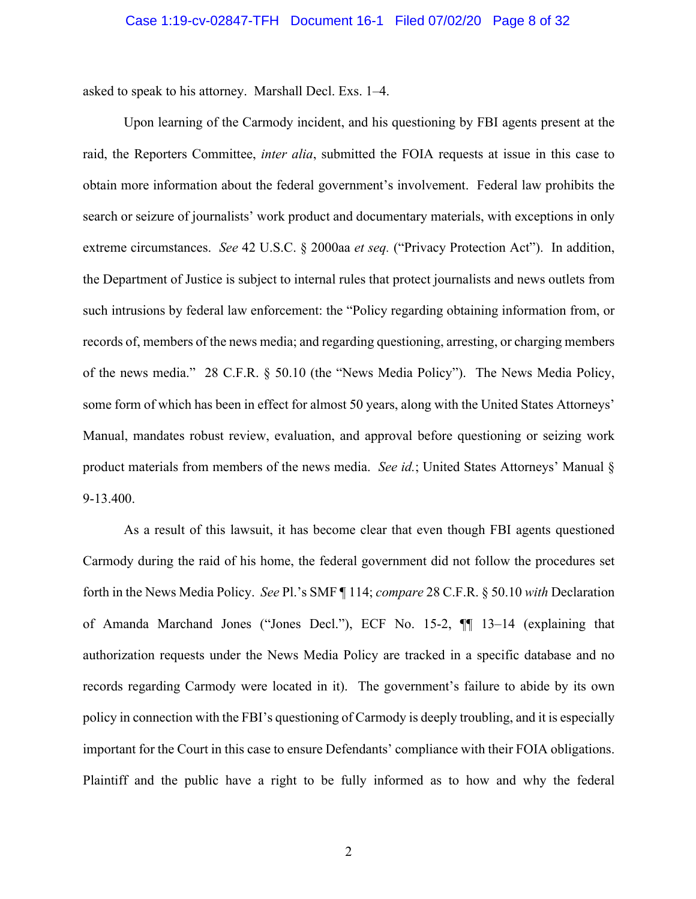asked to speak to his attorney. Marshall Decl. Exs. 1–4.

Upon learning of the Carmody incident, and his questioning by FBI agents present at the raid, the Reporters Committee, *inter alia*, submitted the FOIA requests at issue in this case to obtain more information about the federal government's involvement. Federal law prohibits the search or seizure of journalists' work product and documentary materials, with exceptions in only extreme circumstances. *See* 42 U.S.C. § 2000aa *et seq.* ("Privacy Protection Act"). In addition, the Department of Justice is subject to internal rules that protect journalists and news outlets from such intrusions by federal law enforcement: the "Policy regarding obtaining information from, or records of, members of the news media; and regarding questioning, arresting, or charging members of the news media." 28 C.F.R. § 50.10 (the "News Media Policy"). The News Media Policy, some form of which has been in effect for almost 50 years, along with the United States Attorneys' Manual, mandates robust review, evaluation, and approval before questioning or seizing work product materials from members of the news media. *See id.*; United States Attorneys' Manual § 9-13.400.

As a result of this lawsuit, it has become clear that even though FBI agents questioned Carmody during the raid of his home, the federal government did not follow the procedures set forth in the News Media Policy. *See* Pl.'s SMF ¶ 114; *compare* 28 C.F.R. § 50.10 *with* Declaration of Amanda Marchand Jones ("Jones Decl."), ECF No. 15-2, ¶¶ 13–14 (explaining that authorization requests under the News Media Policy are tracked in a specific database and no records regarding Carmody were located in it). The government's failure to abide by its own policy in connection with the FBI's questioning of Carmody is deeply troubling, and it is especially important for the Court in this case to ensure Defendants' compliance with their FOIA obligations. Plaintiff and the public have a right to be fully informed as to how and why the federal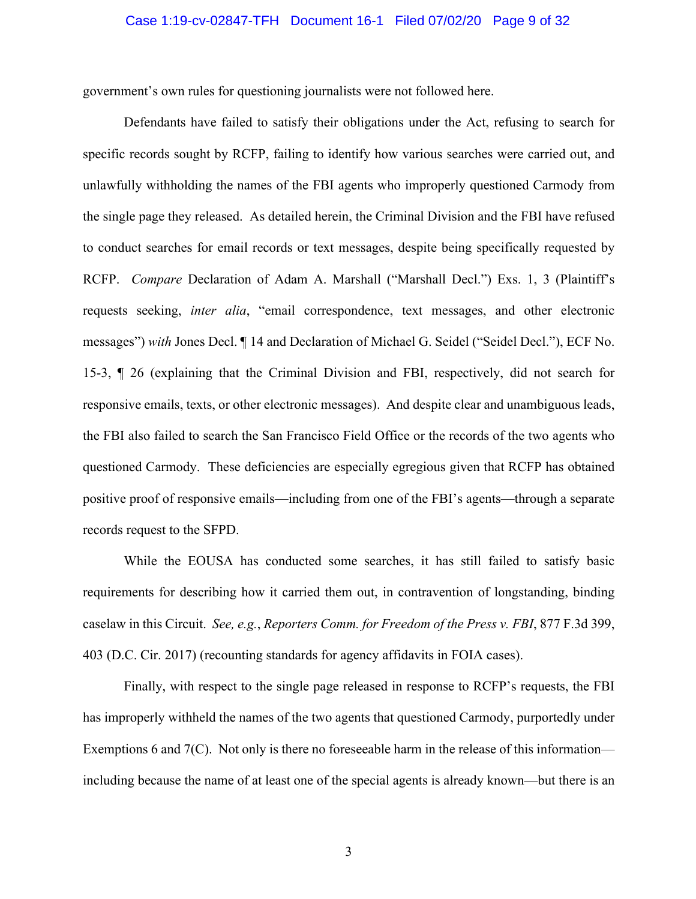## Case 1:19-cv-02847-TFH Document 16-1 Filed 07/02/20 Page 9 of 32

government's own rules for questioning journalists were not followed here.

Defendants have failed to satisfy their obligations under the Act, refusing to search for specific records sought by RCFP, failing to identify how various searches were carried out, and unlawfully withholding the names of the FBI agents who improperly questioned Carmody from the single page they released. As detailed herein, the Criminal Division and the FBI have refused to conduct searches for email records or text messages, despite being specifically requested by RCFP. *Compare* Declaration of Adam A. Marshall ("Marshall Decl.") Exs. 1, 3 (Plaintiff's requests seeking, *inter alia*, "email correspondence, text messages, and other electronic messages") *with* Jones Decl. ¶ 14 and Declaration of Michael G. Seidel ("Seidel Decl."), ECF No. 15-3, ¶ 26 (explaining that the Criminal Division and FBI, respectively, did not search for responsive emails, texts, or other electronic messages). And despite clear and unambiguous leads, the FBI also failed to search the San Francisco Field Office or the records of the two agents who questioned Carmody. These deficiencies are especially egregious given that RCFP has obtained positive proof of responsive emails—including from one of the FBI's agents—through a separate records request to the SFPD.

While the EOUSA has conducted some searches, it has still failed to satisfy basic requirements for describing how it carried them out, in contravention of longstanding, binding caselaw in this Circuit. *See, e.g.*, *Reporters Comm. for Freedom of the Press v. FBI*, 877 F.3d 399, 403 (D.C. Cir. 2017) (recounting standards for agency affidavits in FOIA cases).

Finally, with respect to the single page released in response to RCFP's requests, the FBI has improperly withheld the names of the two agents that questioned Carmody, purportedly under Exemptions 6 and 7(C). Not only is there no foreseeable harm in the release of this information including because the name of at least one of the special agents is already known—but there is an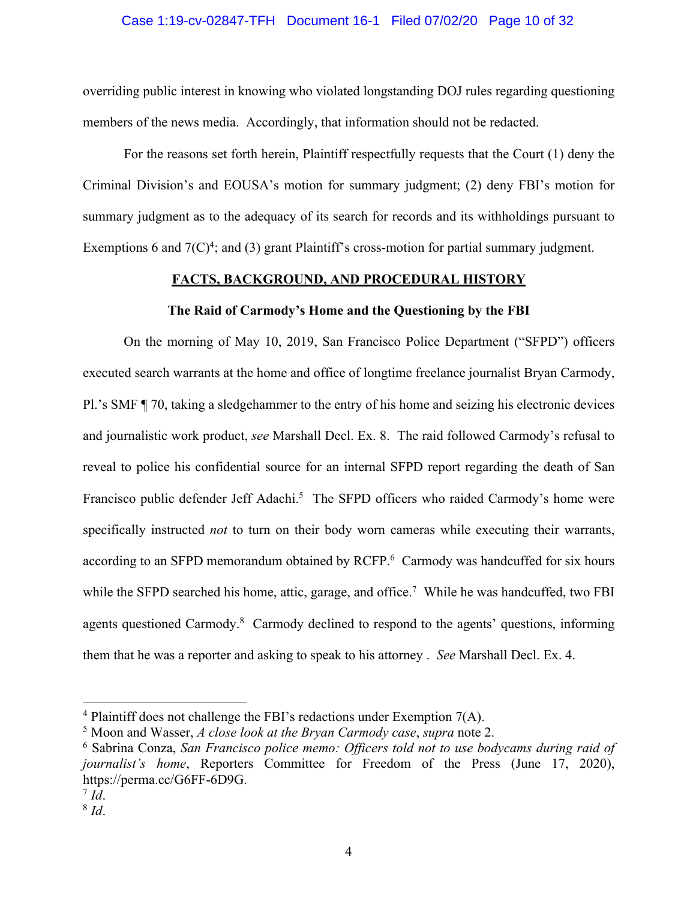## Case 1:19-cv-02847-TFH Document 16-1 Filed 07/02/20 Page 10 of 32

overriding public interest in knowing who violated longstanding DOJ rules regarding questioning members of the news media. Accordingly, that information should not be redacted.

For the reasons set forth herein, Plaintiff respectfully requests that the Court (1) deny the Criminal Division's and EOUSA's motion for summary judgment; (2) deny FBI's motion for summary judgment as to the adequacy of its search for records and its withholdings pursuant to Exemptions 6 and  $7(C)^4$ ; and (3) grant Plaintiff's cross-motion for partial summary judgment.

## **FACTS, BACKGROUND, AND PROCEDURAL HISTORY**

## **The Raid of Carmody's Home and the Questioning by the FBI**

On the morning of May 10, 2019, San Francisco Police Department ("SFPD") officers executed search warrants at the home and office of longtime freelance journalist Bryan Carmody, Pl.'s SMF ¶ 70, taking a sledgehammer to the entry of his home and seizing his electronic devices and journalistic work product, *see* Marshall Decl. Ex. 8. The raid followed Carmody's refusal to reveal to police his confidential source for an internal SFPD report regarding the death of San Francisco public defender Jeff Adachi.<sup>5</sup> The SFPD officers who raided Carmody's home were specifically instructed *not* to turn on their body worn cameras while executing their warrants, according to an SFPD memorandum obtained by RCFP.<sup>6</sup> Carmody was handcuffed for six hours while the SFPD searched his home, attic, garage, and office.<sup>7</sup> While he was handcuffed, two FBI agents questioned Carmody.<sup>8</sup> Carmody declined to respond to the agents' questions, informing them that he was a reporter and asking to speak to his attorney . *See* Marshall Decl. Ex. 4.

 $4$  Plaintiff does not challenge the FBI's redactions under Exemption 7(A).

<sup>5</sup> Moon and Wasser, *A close look at the Bryan Carmody case*, *supra* note 2.

<sup>6</sup> Sabrina Conza, *San Francisco police memo: Officers told not to use bodycams during raid of journalist's home*, Reporters Committee for Freedom of the Press (June 17, 2020), https://perma.cc/G6FF-6D9G.

 $^7$  *Id.* 

<sup>8</sup> *Id*.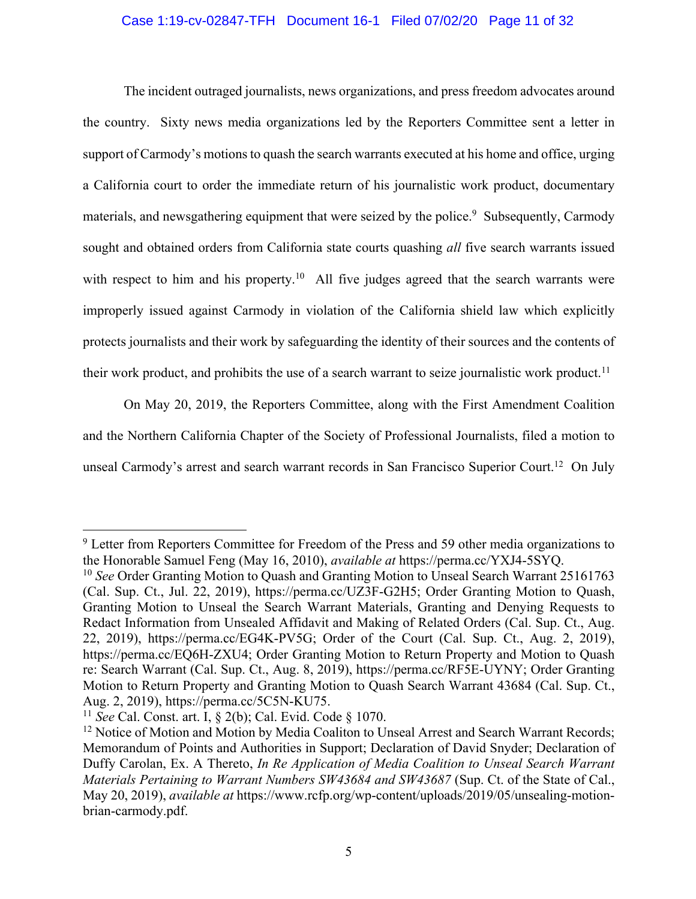## Case 1:19-cv-02847-TFH Document 16-1 Filed 07/02/20 Page 11 of 32

The incident outraged journalists, news organizations, and press freedom advocates around the country. Sixty news media organizations led by the Reporters Committee sent a letter in support of Carmody's motions to quash the search warrants executed at his home and office, urging a California court to order the immediate return of his journalistic work product, documentary materials, and newsgathering equipment that were seized by the police.<sup>9</sup> Subsequently, Carmody sought and obtained orders from California state courts quashing *all* five search warrants issued with respect to him and his property.<sup>10</sup> All five judges agreed that the search warrants were improperly issued against Carmody in violation of the California shield law which explicitly protects journalists and their work by safeguarding the identity of their sources and the contents of their work product, and prohibits the use of a search warrant to seize journalistic work product.<sup>11</sup>

On May 20, 2019, the Reporters Committee, along with the First Amendment Coalition and the Northern California Chapter of the Society of Professional Journalists, filed a motion to unseal Carmody's arrest and search warrant records in San Francisco Superior Court.<sup>12</sup> On July

<sup>&</sup>lt;sup>9</sup> Letter from Reporters Committee for Freedom of the Press and 59 other media organizations to the Honorable Samuel Feng (May 16, 2010), *available at* https://perma.cc/YXJ4-5SYQ.

<sup>&</sup>lt;sup>10</sup> See Order Granting Motion to Quash and Granting Motion to Unseal Search Warrant 25161763 (Cal. Sup. Ct., Jul. 22, 2019), https://perma.cc/UZ3F-G2H5; Order Granting Motion to Quash, Granting Motion to Unseal the Search Warrant Materials, Granting and Denying Requests to Redact Information from Unsealed Affidavit and Making of Related Orders (Cal. Sup. Ct., Aug. 22, 2019), https://perma.cc/EG4K-PV5G; Order of the Court (Cal. Sup. Ct., Aug. 2, 2019), https://perma.cc/EQ6H-ZXU4; Order Granting Motion to Return Property and Motion to Quash re: Search Warrant (Cal. Sup. Ct., Aug. 8, 2019), https://perma.cc/RF5E-UYNY; Order Granting Motion to Return Property and Granting Motion to Quash Search Warrant 43684 (Cal. Sup. Ct., Aug. 2, 2019), https://perma.cc/5C5N-KU75.

<sup>11</sup> *See* Cal. Const. art. I, § 2(b); Cal. Evid. Code § 1070.

<sup>&</sup>lt;sup>12</sup> Notice of Motion and Motion by Media Coaliton to Unseal Arrest and Search Warrant Records; Memorandum of Points and Authorities in Support; Declaration of David Snyder; Declaration of Duffy Carolan, Ex. A Thereto, *In Re Application of Media Coalition to Unseal Search Warrant Materials Pertaining to Warrant Numbers SW43684 and SW43687 (Sup. Ct. of the State of Cal.,* May 20, 2019), *available at* https://www.rcfp.org/wp-content/uploads/2019/05/unsealing-motionbrian-carmody.pdf.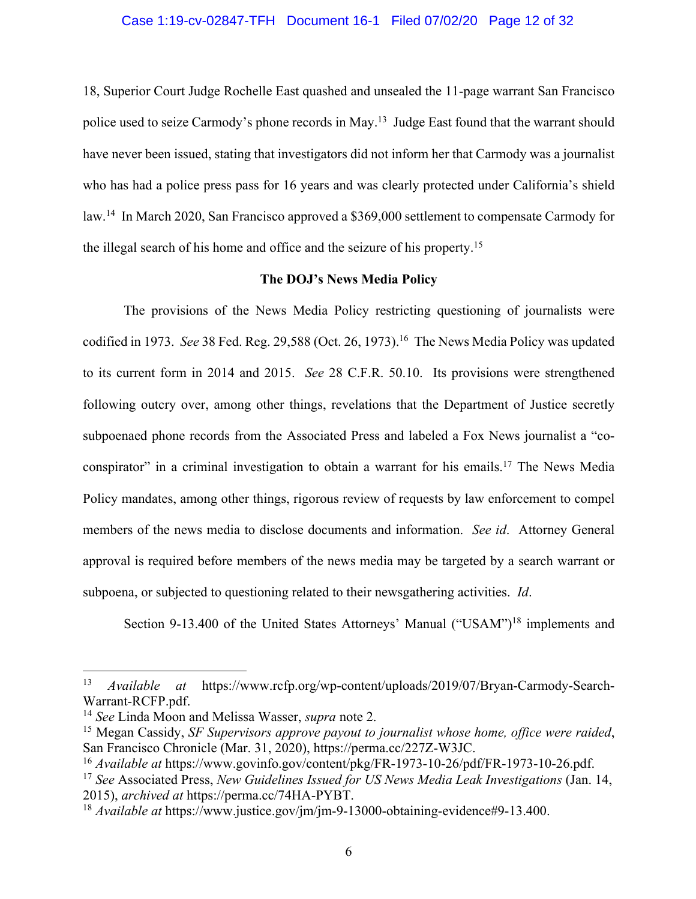## Case 1:19-cv-02847-TFH Document 16-1 Filed 07/02/20 Page 12 of 32

18, Superior Court Judge Rochelle East quashed and unsealed the 11-page warrant San Francisco police used to seize Carmody's phone records in May.13 Judge East found that the warrant should have never been issued, stating that investigators did not inform her that Carmody was a journalist who has had a police press pass for 16 years and was clearly protected under California's shield law.14 In March 2020, San Francisco approved a \$369,000 settlement to compensate Carmody for the illegal search of his home and office and the seizure of his property.15

## **The DOJ's News Media Policy**

The provisions of the News Media Policy restricting questioning of journalists were codified in 1973. *See* 38 Fed. Reg. 29,588 (Oct. 26, 1973). 16 The News Media Policy was updated to its current form in 2014 and 2015. *See* 28 C.F.R. 50.10. Its provisions were strengthened following outcry over, among other things, revelations that the Department of Justice secretly subpoenaed phone records from the Associated Press and labeled a Fox News journalist a "coconspirator" in a criminal investigation to obtain a warrant for his emails.17 The News Media Policy mandates, among other things, rigorous review of requests by law enforcement to compel members of the news media to disclose documents and information. *See id*. Attorney General approval is required before members of the news media may be targeted by a search warrant or subpoena, or subjected to questioning related to their newsgathering activities. *Id*.

Section 9-13.400 of the United States Attorneys' Manual ("USAM")<sup>18</sup> implements and

<sup>13</sup> *Available at* https://www.rcfp.org/wp-content/uploads/2019/07/Bryan-Carmody-Search-Warrant-RCFP.pdf.

<sup>14</sup> *See* Linda Moon and Melissa Wasser, *supra* note 2.

<sup>15</sup> Megan Cassidy, *SF Supervisors approve payout to journalist whose home, office were raided*, San Francisco Chronicle (Mar. 31, 2020), https://perma.cc/227Z-W3JC.

<sup>16</sup> *Available at* https://www.govinfo.gov/content/pkg/FR-1973-10-26/pdf/FR-1973-10-26.pdf.

<sup>17</sup> *See* Associated Press, *New Guidelines Issued for US News Media Leak Investigations* (Jan. 14, 2015), *archived at* https://perma.cc/74HA-PYBT.<br><sup>18</sup> *Available at* https://www.justice.gov/jm/jm-9-13000-obtaining-evidence#9-13.400.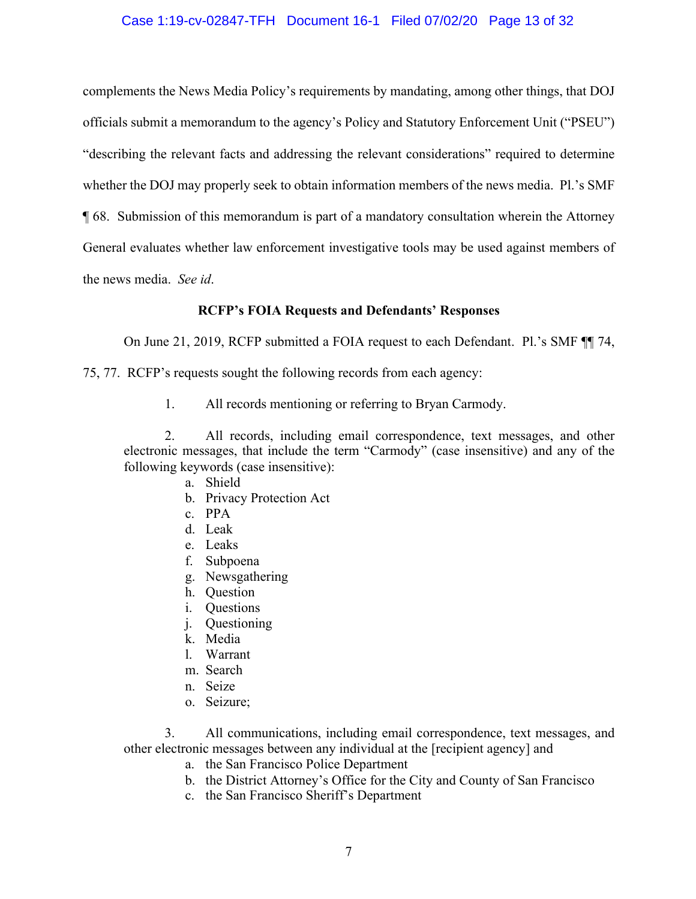## Case 1:19-cv-02847-TFH Document 16-1 Filed 07/02/20 Page 13 of 32

complements the News Media Policy's requirements by mandating, among other things, that DOJ officials submit a memorandum to the agency's Policy and Statutory Enforcement Unit ("PSEU") "describing the relevant facts and addressing the relevant considerations" required to determine whether the DOJ may properly seek to obtain information members of the news media. Pl.'s SMF ¶ 68. Submission of this memorandum is part of a mandatory consultation wherein the Attorney General evaluates whether law enforcement investigative tools may be used against members of the news media. *See id*.

## **RCFP's FOIA Requests and Defendants' Responses**

On June 21, 2019, RCFP submitted a FOIA request to each Defendant. Pl.'s SMF ¶¶ 74,

75, 77. RCFP's requests sought the following records from each agency:

1. All records mentioning or referring to Bryan Carmody.

2. All records, including email correspondence, text messages, and other electronic messages, that include the term "Carmody" (case insensitive) and any of the following keywords (case insensitive):

- a. Shield
- b. Privacy Protection Act
- c. PPA
- d. Leak
- e. Leaks
- f. Subpoena
- g. Newsgathering
- h. Question
- i. Questions
- j. Questioning
- k. Media
- l. Warrant
- m. Search
- n. Seize
- o. Seizure;

3. All communications, including email correspondence, text messages, and other electronic messages between any individual at the [recipient agency] and

- a. the San Francisco Police Department
- b. the District Attorney's Office for the City and County of San Francisco
- c. the San Francisco Sheriff's Department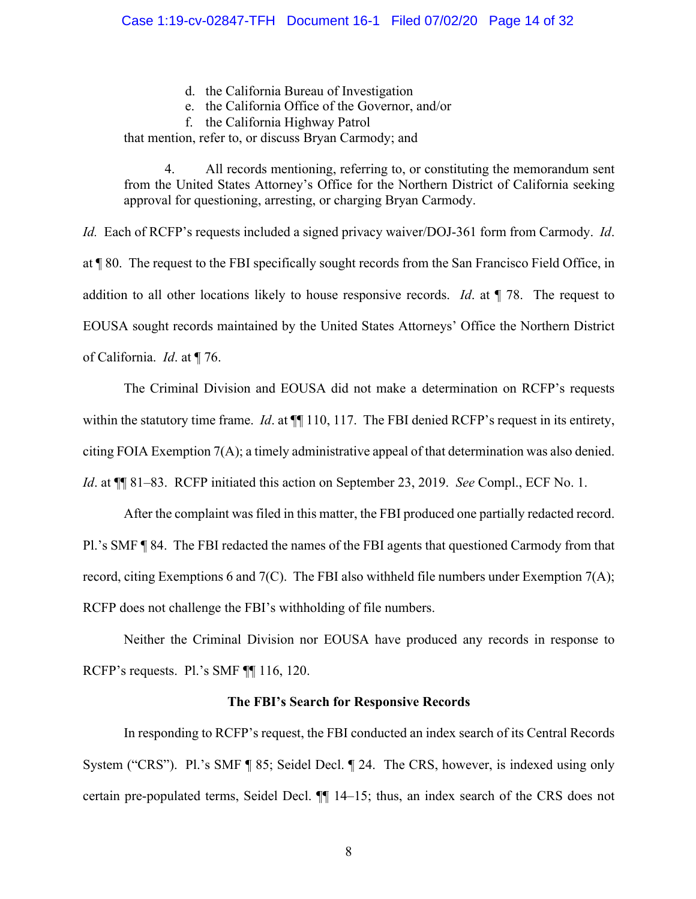- d. the California Bureau of Investigation
- e. the California Office of the Governor, and/or
- f. the California Highway Patrol

that mention, refer to, or discuss Bryan Carmody; and

4. All records mentioning, referring to, or constituting the memorandum sent from the United States Attorney's Office for the Northern District of California seeking approval for questioning, arresting, or charging Bryan Carmody.

*Id.* Each of RCFP's requests included a signed privacy waiver/DOJ-361 form from Carmody. *Id*. at ¶ 80. The request to the FBI specifically sought records from the San Francisco Field Office, in addition to all other locations likely to house responsive records. *Id*. at ¶ 78. The request to EOUSA sought records maintained by the United States Attorneys' Office the Northern District of California. *Id*. at ¶ 76.

The Criminal Division and EOUSA did not make a determination on RCFP's requests within the statutory time frame. *Id.* at  $\P$  110, 117. The FBI denied RCFP's request in its entirety, citing FOIA Exemption 7(A); a timely administrative appeal of that determination was also denied. *Id*. at ¶¶ 81–83. RCFP initiated this action on September 23, 2019. *See* Compl., ECF No. 1.

After the complaint was filed in this matter, the FBI produced one partially redacted record. Pl.'s SMF ¶ 84. The FBI redacted the names of the FBI agents that questioned Carmody from that record, citing Exemptions 6 and 7(C). The FBI also withheld file numbers under Exemption 7(A); RCFP does not challenge the FBI's withholding of file numbers.

Neither the Criminal Division nor EOUSA have produced any records in response to RCFP's requests. Pl.'s SMF ¶¶ 116, 120.

## **The FBI's Search for Responsive Records**

In responding to RCFP's request, the FBI conducted an index search of its Central Records System ("CRS"). Pl.'s SMF ¶ 85; Seidel Decl. ¶ 24. The CRS, however, is indexed using only certain pre-populated terms, Seidel Decl. ¶¶ 14–15; thus, an index search of the CRS does not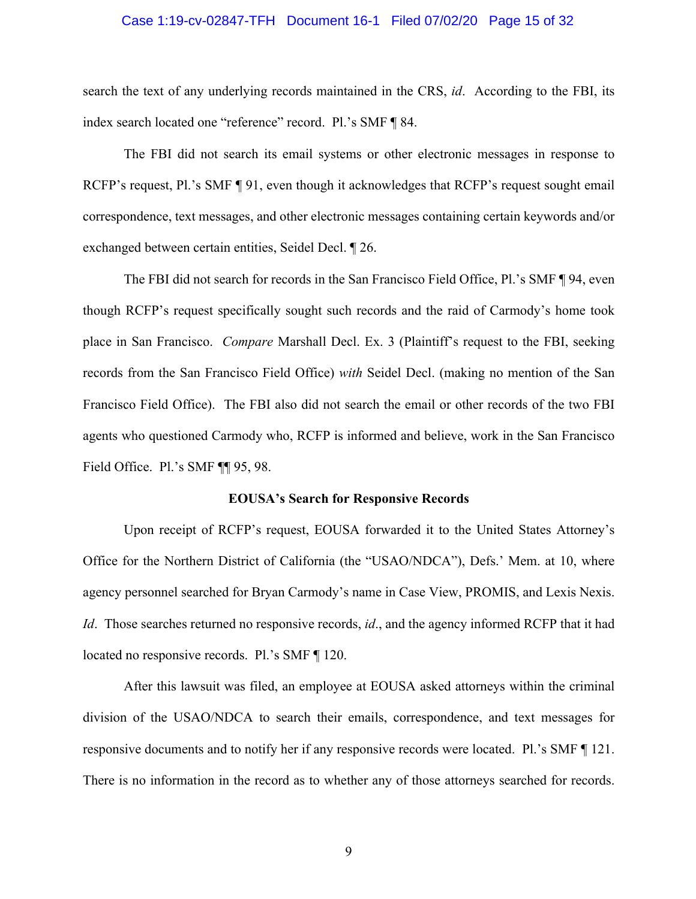## Case 1:19-cv-02847-TFH Document 16-1 Filed 07/02/20 Page 15 of 32

search the text of any underlying records maintained in the CRS, *id*. According to the FBI, its index search located one "reference" record. Pl.'s SMF ¶ 84.

The FBI did not search its email systems or other electronic messages in response to RCFP's request, Pl.'s SMF ¶ 91, even though it acknowledges that RCFP's request sought email correspondence, text messages, and other electronic messages containing certain keywords and/or exchanged between certain entities, Seidel Decl. ¶ 26.

The FBI did not search for records in the San Francisco Field Office, Pl.'s SMF ¶ 94, even though RCFP's request specifically sought such records and the raid of Carmody's home took place in San Francisco. *Compare* Marshall Decl. Ex. 3 (Plaintiff's request to the FBI, seeking records from the San Francisco Field Office) *with* Seidel Decl. (making no mention of the San Francisco Field Office). The FBI also did not search the email or other records of the two FBI agents who questioned Carmody who, RCFP is informed and believe, work in the San Francisco Field Office. Pl.'s SMF ¶¶ 95, 98.

## **EOUSA's Search for Responsive Records**

Upon receipt of RCFP's request, EOUSA forwarded it to the United States Attorney's Office for the Northern District of California (the "USAO/NDCA"), Defs.' Mem. at 10, where agency personnel searched for Bryan Carmody's name in Case View, PROMIS, and Lexis Nexis. *Id*. Those searches returned no responsive records, *id*., and the agency informed RCFP that it had located no responsive records. Pl.'s SMF ¶ 120.

After this lawsuit was filed, an employee at EOUSA asked attorneys within the criminal division of the USAO/NDCA to search their emails, correspondence, and text messages for responsive documents and to notify her if any responsive records were located. Pl.'s SMF ¶ 121. There is no information in the record as to whether any of those attorneys searched for records.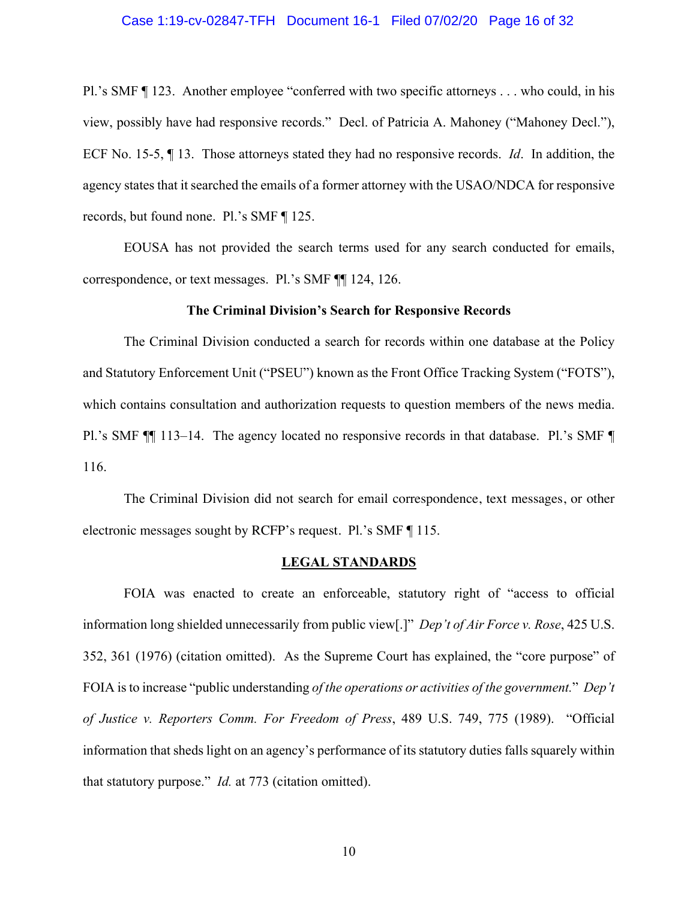## Case 1:19-cv-02847-TFH Document 16-1 Filed 07/02/20 Page 16 of 32

Pl.'s SMF ¶ 123. Another employee "conferred with two specific attorneys . . . who could, in his view, possibly have had responsive records." Decl. of Patricia A. Mahoney ("Mahoney Decl."), ECF No. 15-5, ¶ 13. Those attorneys stated they had no responsive records. *Id*. In addition, the agency states that it searched the emails of a former attorney with the USAO/NDCA for responsive records, but found none. Pl.'s SMF ¶ 125.

EOUSA has not provided the search terms used for any search conducted for emails, correspondence, or text messages. Pl.'s SMF ¶¶ 124, 126.

#### **The Criminal Division's Search for Responsive Records**

The Criminal Division conducted a search for records within one database at the Policy and Statutory Enforcement Unit ("PSEU") known as the Front Office Tracking System ("FOTS"), which contains consultation and authorization requests to question members of the news media. Pl.'s SMF ¶¶ 113–14. The agency located no responsive records in that database. Pl.'s SMF ¶ 116.

The Criminal Division did not search for email correspondence, text messages, or other electronic messages sought by RCFP's request. Pl.'s SMF ¶ 115.

## **LEGAL STANDARDS**

FOIA was enacted to create an enforceable, statutory right of "access to official information long shielded unnecessarily from public view[.]" *Dep't of Air Force v. Rose*, 425 U.S. 352, 361 (1976) (citation omitted). As the Supreme Court has explained, the "core purpose" of FOIA is to increase "public understanding *of the operations or activities of the government.*" *Dep't of Justice v. Reporters Comm. For Freedom of Press*, 489 U.S. 749, 775 (1989). "Official information that sheds light on an agency's performance of its statutory duties falls squarely within that statutory purpose." *Id.* at 773 (citation omitted).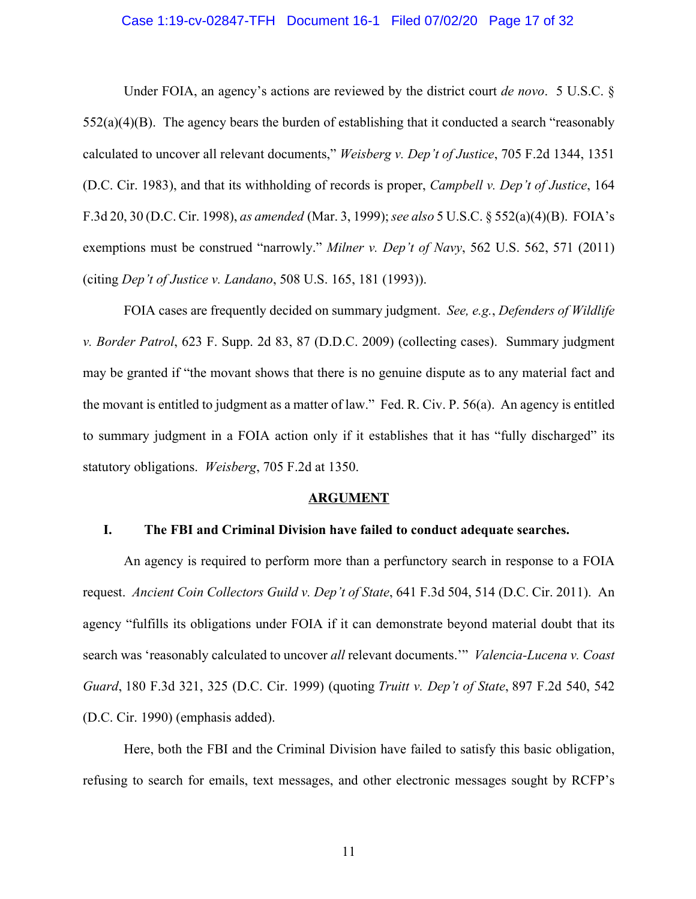## Case 1:19-cv-02847-TFH Document 16-1 Filed 07/02/20 Page 17 of 32

Under FOIA, an agency's actions are reviewed by the district court *de novo*. 5 U.S.C. §  $552(a)(4)(B)$ . The agency bears the burden of establishing that it conducted a search "reasonably" calculated to uncover all relevant documents," *Weisberg v. Dep't of Justice*, 705 F.2d 1344, 1351 (D.C. Cir. 1983), and that its withholding of records is proper, *Campbell v. Dep't of Justice*, 164 F.3d 20, 30 (D.C. Cir. 1998), *as amended* (Mar. 3, 1999); *see also* 5 U.S.C. § 552(a)(4)(B). FOIA's exemptions must be construed "narrowly." *Milner v. Dep't of Navy*, 562 U.S. 562, 571 (2011) (citing *Dep't of Justice v. Landano*, 508 U.S. 165, 181 (1993)).

FOIA cases are frequently decided on summary judgment. *See, e.g.*, *Defenders of Wildlife v. Border Patrol*, 623 F. Supp. 2d 83, 87 (D.D.C. 2009) (collecting cases). Summary judgment may be granted if "the movant shows that there is no genuine dispute as to any material fact and the movant is entitled to judgment as a matter of law." Fed. R. Civ. P. 56(a). An agency is entitled to summary judgment in a FOIA action only if it establishes that it has "fully discharged" its statutory obligations. *Weisberg*, 705 F.2d at 1350.

#### **ARGUMENT**

## **I. The FBI and Criminal Division have failed to conduct adequate searches.**

An agency is required to perform more than a perfunctory search in response to a FOIA request. *Ancient Coin Collectors Guild v. Dep't of State*, 641 F.3d 504, 514 (D.C. Cir. 2011). An agency "fulfills its obligations under FOIA if it can demonstrate beyond material doubt that its search was 'reasonably calculated to uncover *all* relevant documents.'" *Valencia-Lucena v. Coast Guard*, 180 F.3d 321, 325 (D.C. Cir. 1999) (quoting *Truitt v. Dep't of State*, 897 F.2d 540, 542 (D.C. Cir. 1990) (emphasis added).

Here, both the FBI and the Criminal Division have failed to satisfy this basic obligation, refusing to search for emails, text messages, and other electronic messages sought by RCFP's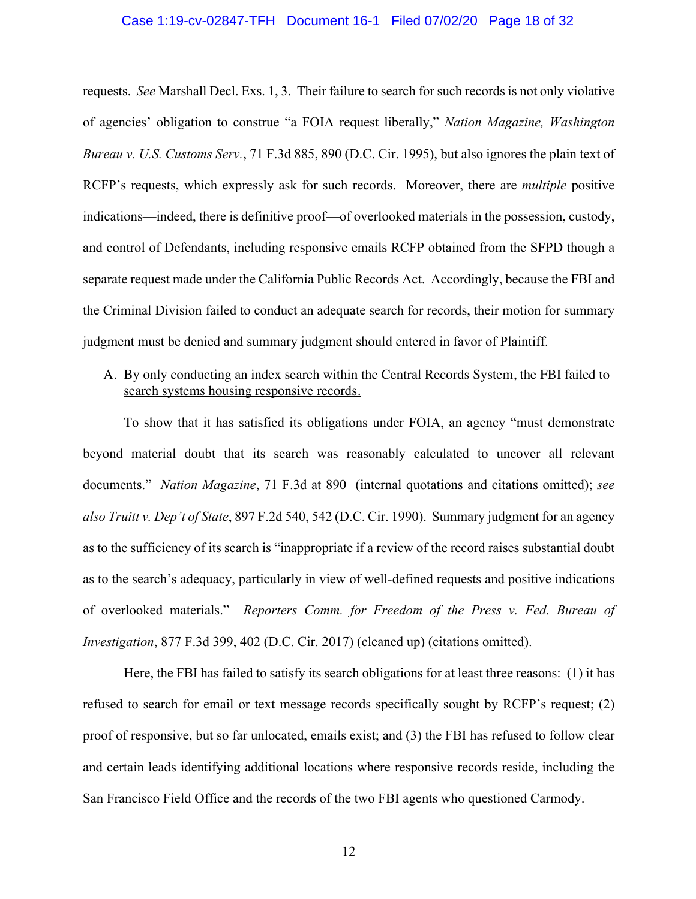## Case 1:19-cv-02847-TFH Document 16-1 Filed 07/02/20 Page 18 of 32

requests. *See* Marshall Decl. Exs. 1, 3. Their failure to search for such records is not only violative of agencies' obligation to construe "a FOIA request liberally," *Nation Magazine, Washington Bureau v. U.S. Customs Serv.*, 71 F.3d 885, 890 (D.C. Cir. 1995), but also ignores the plain text of RCFP's requests, which expressly ask for such records. Moreover, there are *multiple* positive indications—indeed, there is definitive proof—of overlooked materials in the possession, custody, and control of Defendants, including responsive emails RCFP obtained from the SFPD though a separate request made under the California Public Records Act. Accordingly, because the FBI and the Criminal Division failed to conduct an adequate search for records, their motion for summary judgment must be denied and summary judgment should entered in favor of Plaintiff.

# A. By only conducting an index search within the Central Records System, the FBI failed to search systems housing responsive records.

To show that it has satisfied its obligations under FOIA, an agency "must demonstrate beyond material doubt that its search was reasonably calculated to uncover all relevant documents." *Nation Magazine*, 71 F.3d at 890 (internal quotations and citations omitted); *see also Truitt v. Dep't of State*, 897 F.2d 540, 542 (D.C. Cir. 1990). Summary judgment for an agency as to the sufficiency of its search is "inappropriate if a review of the record raises substantial doubt as to the search's adequacy, particularly in view of well-defined requests and positive indications of overlooked materials." *Reporters Comm. for Freedom of the Press v. Fed. Bureau of Investigation*, 877 F.3d 399, 402 (D.C. Cir. 2017) (cleaned up) (citations omitted).

Here, the FBI has failed to satisfy its search obligations for at least three reasons: (1) it has refused to search for email or text message records specifically sought by RCFP's request; (2) proof of responsive, but so far unlocated, emails exist; and (3) the FBI has refused to follow clear and certain leads identifying additional locations where responsive records reside, including the San Francisco Field Office and the records of the two FBI agents who questioned Carmody.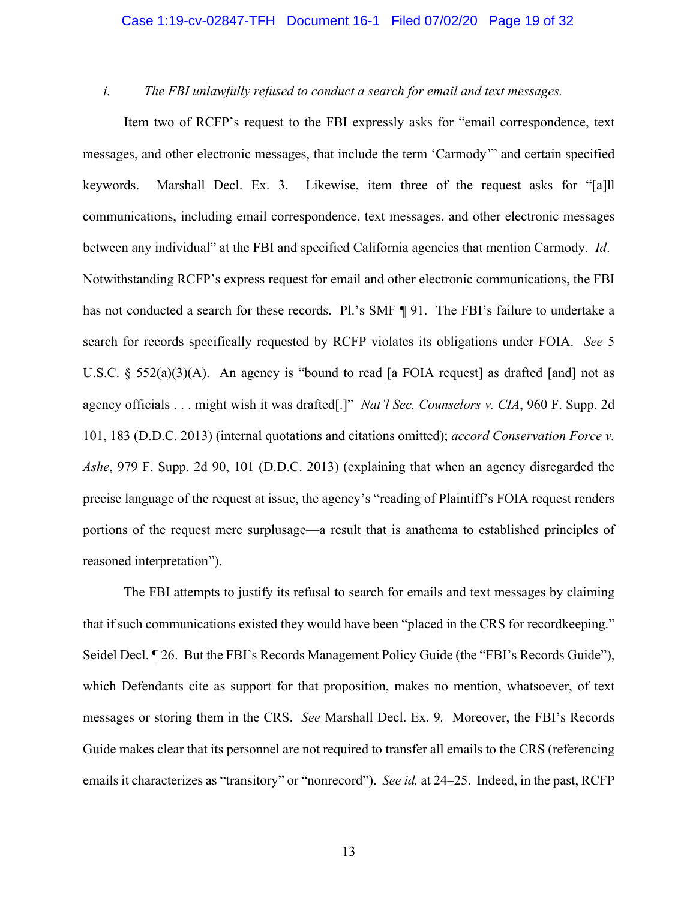## Case 1:19-cv-02847-TFH Document 16-1 Filed 07/02/20 Page 19 of 32

## *i. The FBI unlawfully refused to conduct a search for email and text messages.*

Item two of RCFP's request to the FBI expressly asks for "email correspondence, text messages, and other electronic messages, that include the term 'Carmody'" and certain specified keywords. Marshall Decl. Ex. 3. Likewise, item three of the request asks for "[a]ll communications, including email correspondence, text messages, and other electronic messages between any individual" at the FBI and specified California agencies that mention Carmody. *Id*. Notwithstanding RCFP's express request for email and other electronic communications, the FBI has not conducted a search for these records. Pl.'s SMF ¶ 91. The FBI's failure to undertake a search for records specifically requested by RCFP violates its obligations under FOIA. *See* 5 U.S.C.  $\S$  552(a)(3)(A). An agency is "bound to read [a FOIA request] as drafted [and] not as agency officials . . . might wish it was drafted[.]" *Nat'l Sec. Counselors v. CIA*, 960 F. Supp. 2d 101, 183 (D.D.C. 2013) (internal quotations and citations omitted); *accord Conservation Force v. Ashe*, 979 F. Supp. 2d 90, 101 (D.D.C. 2013) (explaining that when an agency disregarded the precise language of the request at issue, the agency's "reading of Plaintiff's FOIA request renders portions of the request mere surplusage—a result that is anathema to established principles of reasoned interpretation").

The FBI attempts to justify its refusal to search for emails and text messages by claiming that if such communications existed they would have been "placed in the CRS for recordkeeping." Seidel Decl. ¶ 26. But the FBI's Records Management Policy Guide (the "FBI's Records Guide"), which Defendants cite as support for that proposition, makes no mention, whatsoever, of text messages or storing them in the CRS. *See* Marshall Decl. Ex. 9*.* Moreover, the FBI's Records Guide makes clear that its personnel are not required to transfer all emails to the CRS (referencing emails it characterizes as "transitory" or "nonrecord"). *See id.* at 24–25. Indeed, in the past, RCFP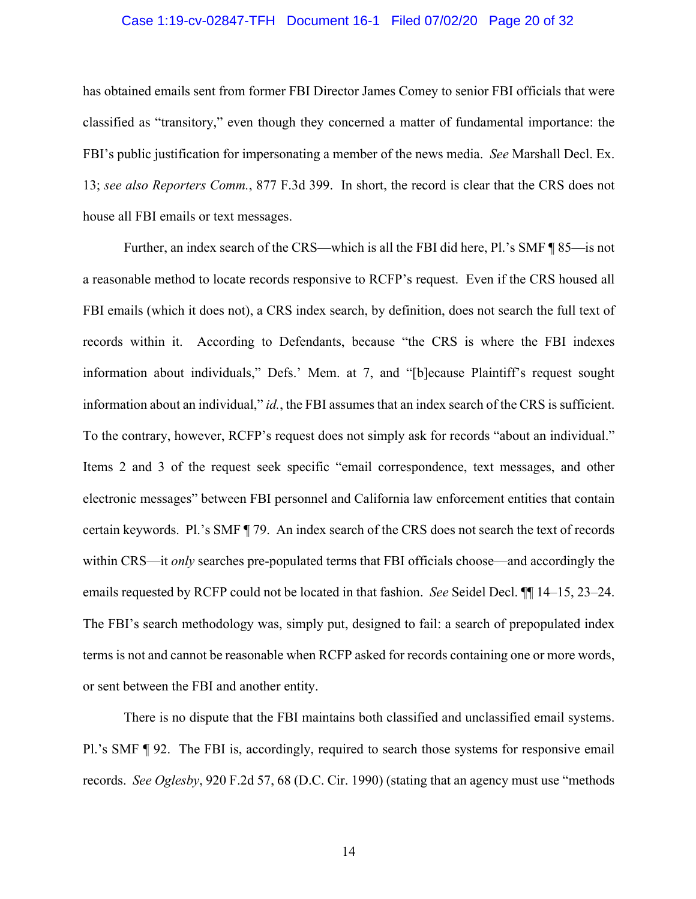## Case 1:19-cv-02847-TFH Document 16-1 Filed 07/02/20 Page 20 of 32

has obtained emails sent from former FBI Director James Comey to senior FBI officials that were classified as "transitory," even though they concerned a matter of fundamental importance: the FBI's public justification for impersonating a member of the news media. *See* Marshall Decl. Ex. 13; *see also Reporters Comm.*, 877 F.3d 399. In short, the record is clear that the CRS does not house all FBI emails or text messages.

Further, an index search of the CRS—which is all the FBI did here, Pl.'s SMF ¶ 85—is not a reasonable method to locate records responsive to RCFP's request. Even if the CRS housed all FBI emails (which it does not), a CRS index search, by definition, does not search the full text of records within it. According to Defendants, because "the CRS is where the FBI indexes information about individuals," Defs.' Mem. at 7, and "[b]ecause Plaintiff's request sought information about an individual," *id.*, the FBI assumes that an index search of the CRS is sufficient. To the contrary, however, RCFP's request does not simply ask for records "about an individual." Items 2 and 3 of the request seek specific "email correspondence, text messages, and other electronic messages" between FBI personnel and California law enforcement entities that contain certain keywords. Pl.'s SMF ¶ 79. An index search of the CRS does not search the text of records within CRS—it *only* searches pre-populated terms that FBI officials choose—and accordingly the emails requested by RCFP could not be located in that fashion. *See* Seidel Decl. ¶¶ 14–15, 23–24. The FBI's search methodology was, simply put, designed to fail: a search of prepopulated index terms is not and cannot be reasonable when RCFP asked for records containing one or more words, or sent between the FBI and another entity.

There is no dispute that the FBI maintains both classified and unclassified email systems. Pl.'s SMF ¶ 92. The FBI is, accordingly, required to search those systems for responsive email records. *See Oglesby*, 920 F.2d 57, 68 (D.C. Cir. 1990) (stating that an agency must use "methods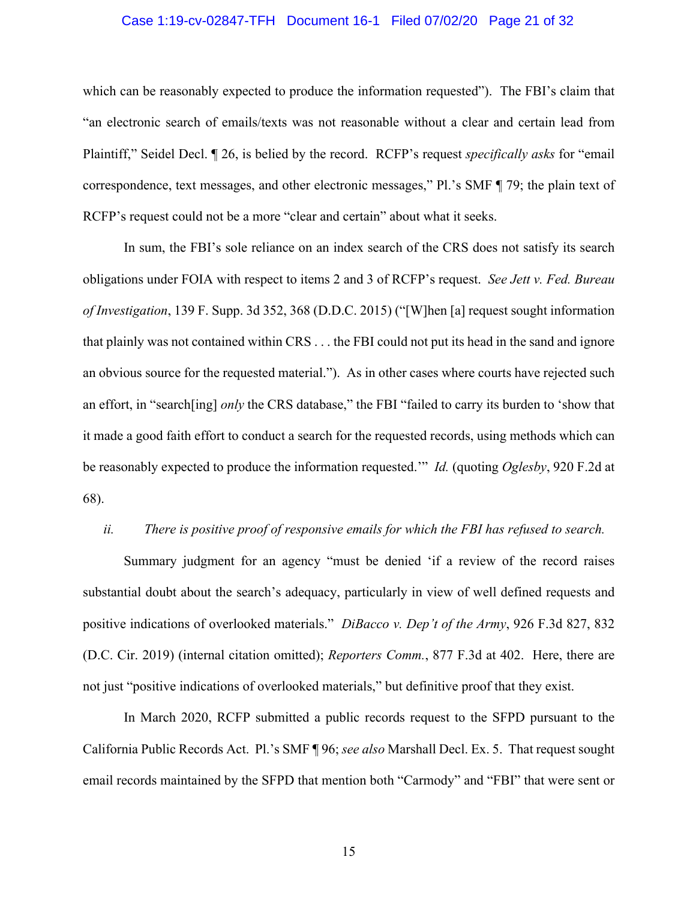## Case 1:19-cv-02847-TFH Document 16-1 Filed 07/02/20 Page 21 of 32

which can be reasonably expected to produce the information requested"). The FBI's claim that "an electronic search of emails/texts was not reasonable without a clear and certain lead from Plaintiff," Seidel Decl. ¶ 26, is belied by the record. RCFP's request *specifically asks* for "email correspondence, text messages, and other electronic messages," Pl.'s SMF ¶ 79; the plain text of RCFP's request could not be a more "clear and certain" about what it seeks.

In sum, the FBI's sole reliance on an index search of the CRS does not satisfy its search obligations under FOIA with respect to items 2 and 3 of RCFP's request. *See Jett v. Fed. Bureau of Investigation*, 139 F. Supp. 3d 352, 368 (D.D.C. 2015) ("[W]hen [a] request sought information that plainly was not contained within CRS . . . the FBI could not put its head in the sand and ignore an obvious source for the requested material."). As in other cases where courts have rejected such an effort, in "search[ing] *only* the CRS database," the FBI "failed to carry its burden to 'show that it made a good faith effort to conduct a search for the requested records, using methods which can be reasonably expected to produce the information requested.'" *Id.* (quoting *Oglesby*, 920 F.2d at 68).

#### *ii. There is positive proof of responsive emails for which the FBI has refused to search.*

Summary judgment for an agency "must be denied 'if a review of the record raises substantial doubt about the search's adequacy, particularly in view of well defined requests and positive indications of overlooked materials." *DiBacco v. Dep't of the Army*, 926 F.3d 827, 832 (D.C. Cir. 2019) (internal citation omitted); *Reporters Comm.*, 877 F.3d at 402. Here, there are not just "positive indications of overlooked materials," but definitive proof that they exist.

In March 2020, RCFP submitted a public records request to the SFPD pursuant to the California Public Records Act. Pl.'s SMF ¶ 96; *see also* Marshall Decl. Ex. 5. That request sought email records maintained by the SFPD that mention both "Carmody" and "FBI" that were sent or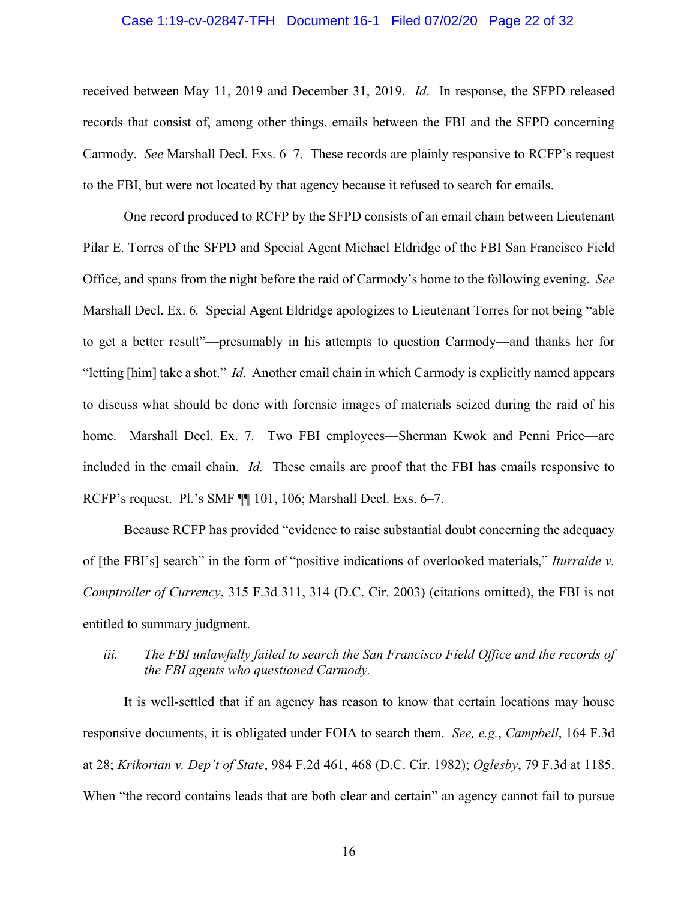## Case 1:19-cv-02847-TFH Document 16-1 Filed 07/02/20 Page 22 of 32

received between May 11, 2019 and December 31, 2019. *Id*. In response, the SFPD released records that consist of, among other things, emails between the FBI and the SFPD concerning Carmody. *See* Marshall Decl. Exs. 6–7. These records are plainly responsive to RCFP's request to the FBI, but were not located by that agency because it refused to search for emails.

One record produced to RCFP by the SFPD consists of an email chain between Lieutenant Pilar E. Torres of the SFPD and Special Agent Michael Eldridge of the FBI San Francisco Field Office, and spans from the night before the raid of Carmody's home to the following evening. *See*  Marshall Decl. Ex. 6*.* Special Agent Eldridge apologizes to Lieutenant Torres for not being "able to get a better result"—presumably in his attempts to question Carmody—and thanks her for "letting [him] take a shot." *Id*. Another email chain in which Carmody is explicitly named appears to discuss what should be done with forensic images of materials seized during the raid of his home. Marshall Decl. Ex. 7*.* Two FBI employees—Sherman Kwok and Penni Price—are included in the email chain. *Id.* These emails are proof that the FBI has emails responsive to RCFP's request. Pl.'s SMF ¶¶ 101, 106; Marshall Decl. Exs. 6–7.

Because RCFP has provided "evidence to raise substantial doubt concerning the adequacy of [the FBI's] search" in the form of "positive indications of overlooked materials," *Iturralde v. Comptroller of Currency*, 315 F.3d 311, 314 (D.C. Cir. 2003) (citations omitted), the FBI is not entitled to summary judgment.

# *iii. The FBI unlawfully failed to search the San Francisco Field Office and the records of the FBI agents who questioned Carmody.*

It is well-settled that if an agency has reason to know that certain locations may house responsive documents, it is obligated under FOIA to search them. *See, e.g.*, *Campbell*, 164 F.3d at 28; *Krikorian v. Dep't of State*, 984 F.2d 461, 468 (D.C. Cir. 1982); *Oglesby*, 79 F.3d at 1185. When "the record contains leads that are both clear and certain" an agency cannot fail to pursue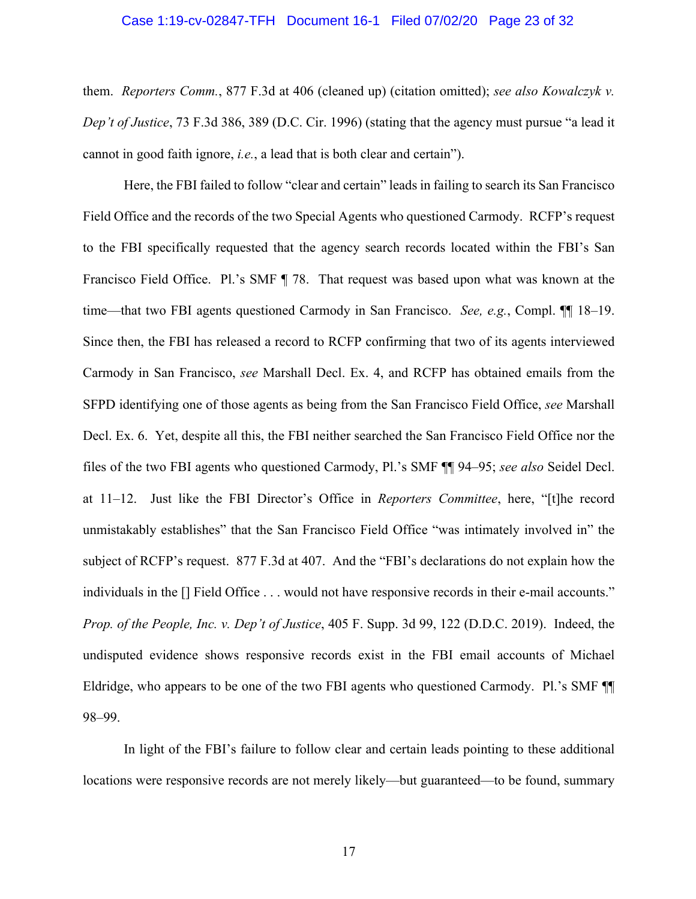## Case 1:19-cv-02847-TFH Document 16-1 Filed 07/02/20 Page 23 of 32

them. *Reporters Comm.*, 877 F.3d at 406 (cleaned up) (citation omitted); *see also Kowalczyk v. Dep't of Justice*, 73 F.3d 386, 389 (D.C. Cir. 1996) (stating that the agency must pursue "a lead it cannot in good faith ignore, *i.e.*, a lead that is both clear and certain").

Here, the FBI failed to follow "clear and certain" leads in failing to search its San Francisco Field Office and the records of the two Special Agents who questioned Carmody. RCFP's request to the FBI specifically requested that the agency search records located within the FBI's San Francisco Field Office. Pl.'s SMF ¶ 78. That request was based upon what was known at the time—that two FBI agents questioned Carmody in San Francisco. *See, e.g.*, Compl. ¶¶ 18–19. Since then, the FBI has released a record to RCFP confirming that two of its agents interviewed Carmody in San Francisco, *see* Marshall Decl. Ex. 4, and RCFP has obtained emails from the SFPD identifying one of those agents as being from the San Francisco Field Office, *see* Marshall Decl. Ex. 6. Yet, despite all this, the FBI neither searched the San Francisco Field Office nor the files of the two FBI agents who questioned Carmody, Pl.'s SMF ¶¶ 94–95; *see also* Seidel Decl. at 11–12. Just like the FBI Director's Office in *Reporters Committee*, here, "[t]he record unmistakably establishes" that the San Francisco Field Office "was intimately involved in" the subject of RCFP's request. 877 F.3d at 407. And the "FBI's declarations do not explain how the individuals in the [] Field Office . . . would not have responsive records in their e-mail accounts." *Prop. of the People, Inc. v. Dep't of Justice*, 405 F. Supp. 3d 99, 122 (D.D.C. 2019). Indeed, the undisputed evidence shows responsive records exist in the FBI email accounts of Michael Eldridge, who appears to be one of the two FBI agents who questioned Carmody. Pl.'s SMF ¶¶ 98–99.

In light of the FBI's failure to follow clear and certain leads pointing to these additional locations were responsive records are not merely likely—but guaranteed—to be found, summary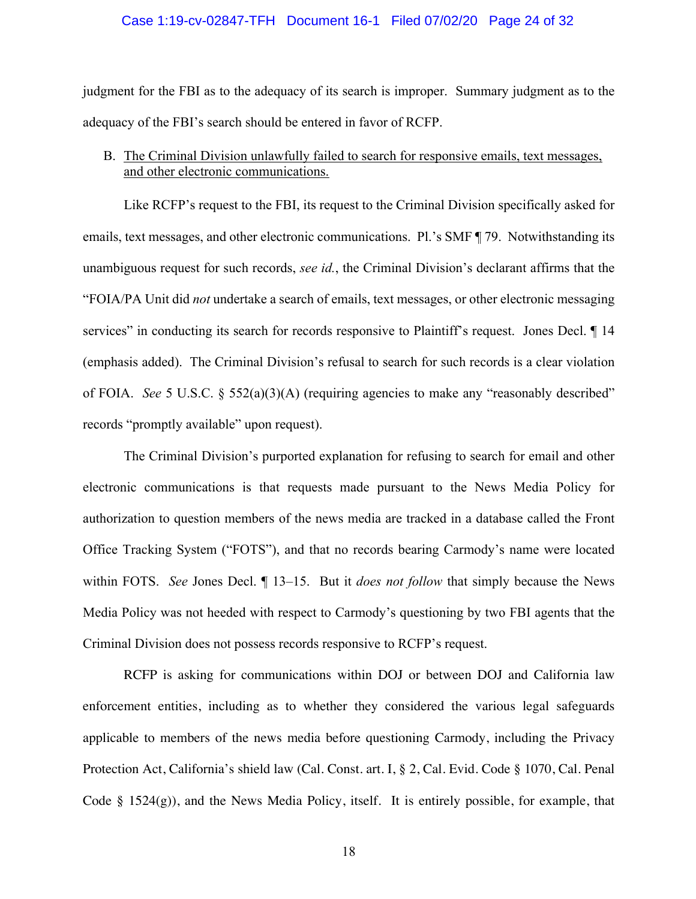## Case 1:19-cv-02847-TFH Document 16-1 Filed 07/02/20 Page 24 of 32

judgment for the FBI as to the adequacy of its search is improper. Summary judgment as to the adequacy of the FBI's search should be entered in favor of RCFP.

## B. The Criminal Division unlawfully failed to search for responsive emails, text messages, and other electronic communications.

Like RCFP's request to the FBI, its request to the Criminal Division specifically asked for emails, text messages, and other electronic communications. Pl.'s SMF ¶ 79. Notwithstanding its unambiguous request for such records, *see id.*, the Criminal Division's declarant affirms that the "FOIA/PA Unit did *not* undertake a search of emails, text messages, or other electronic messaging services" in conducting its search for records responsive to Plaintiff's request. Jones Decl.  $\P$  14 (emphasis added). The Criminal Division's refusal to search for such records is a clear violation of FOIA. *See* 5 U.S.C. § 552(a)(3)(A) (requiring agencies to make any "reasonably described" records "promptly available" upon request).

The Criminal Division's purported explanation for refusing to search for email and other electronic communications is that requests made pursuant to the News Media Policy for authorization to question members of the news media are tracked in a database called the Front Office Tracking System ("FOTS"), and that no records bearing Carmody's name were located within FOTS. *See* Jones Decl. ¶ 13–15. But it *does not follow* that simply because the News Media Policy was not heeded with respect to Carmody's questioning by two FBI agents that the Criminal Division does not possess records responsive to RCFP's request.

RCFP is asking for communications within DOJ or between DOJ and California law enforcement entities, including as to whether they considered the various legal safeguards applicable to members of the news media before questioning Carmody, including the Privacy Protection Act, California's shield law (Cal. Const. art. I, § 2, Cal. Evid. Code § 1070, Cal. Penal Code  $\S$  1524(g)), and the News Media Policy, itself. It is entirely possible, for example, that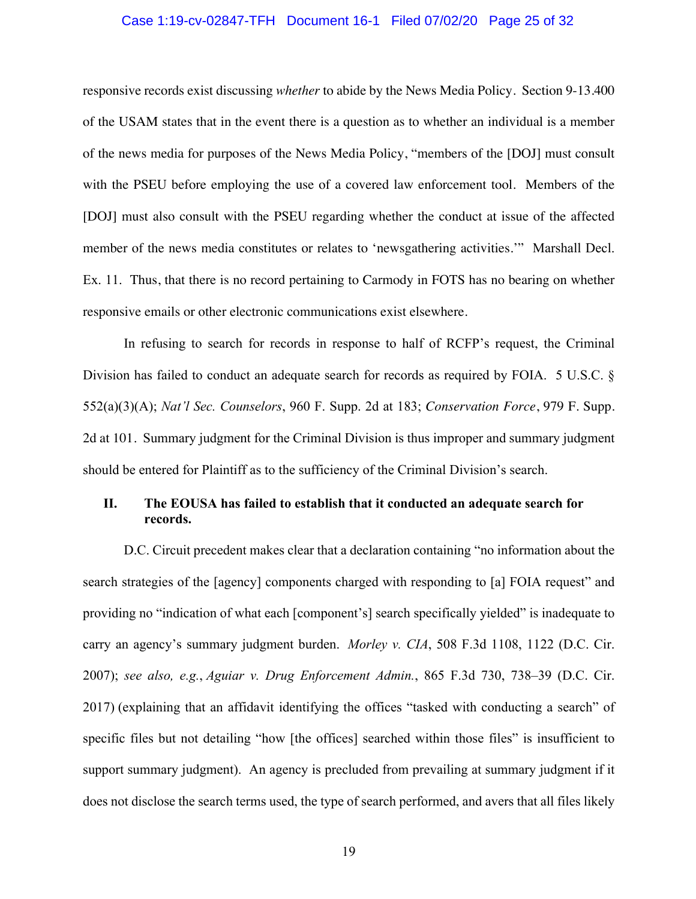## Case 1:19-cv-02847-TFH Document 16-1 Filed 07/02/20 Page 25 of 32

responsive records exist discussing *whether* to abide by the News Media Policy. Section 9-13.400 of the USAM states that in the event there is a question as to whether an individual is a member of the news media for purposes of the News Media Policy, "members of the [DOJ] must consult with the PSEU before employing the use of a covered law enforcement tool. Members of the [DOJ] must also consult with the PSEU regarding whether the conduct at issue of the affected member of the news media constitutes or relates to 'newsgathering activities.'" Marshall Decl. Ex. 11. Thus, that there is no record pertaining to Carmody in FOTS has no bearing on whether responsive emails or other electronic communications exist elsewhere.

In refusing to search for records in response to half of RCFP's request, the Criminal Division has failed to conduct an adequate search for records as required by FOIA. 5 U.S.C. § 552(a)(3)(A); *Nat'l Sec. Counselors*, 960 F. Supp. 2d at 183; *Conservation Force*, 979 F. Supp. 2d at 101. Summary judgment for the Criminal Division is thus improper and summary judgment should be entered for Plaintiff as to the sufficiency of the Criminal Division's search.

# **II. The EOUSA has failed to establish that it conducted an adequate search for records.**

D.C. Circuit precedent makes clear that a declaration containing "no information about the search strategies of the [agency] components charged with responding to [a] FOIA request" and providing no "indication of what each [component's] search specifically yielded" is inadequate to carry an agency's summary judgment burden. *Morley v. CIA*, 508 F.3d 1108, 1122 (D.C. Cir. 2007); *see also, e.g.*, *Aguiar v. Drug Enforcement Admin.*, 865 F.3d 730, 738–39 (D.C. Cir. 2017) (explaining that an affidavit identifying the offices "tasked with conducting a search" of specific files but not detailing "how [the offices] searched within those files" is insufficient to support summary judgment). An agency is precluded from prevailing at summary judgment if it does not disclose the search terms used, the type of search performed, and avers that all files likely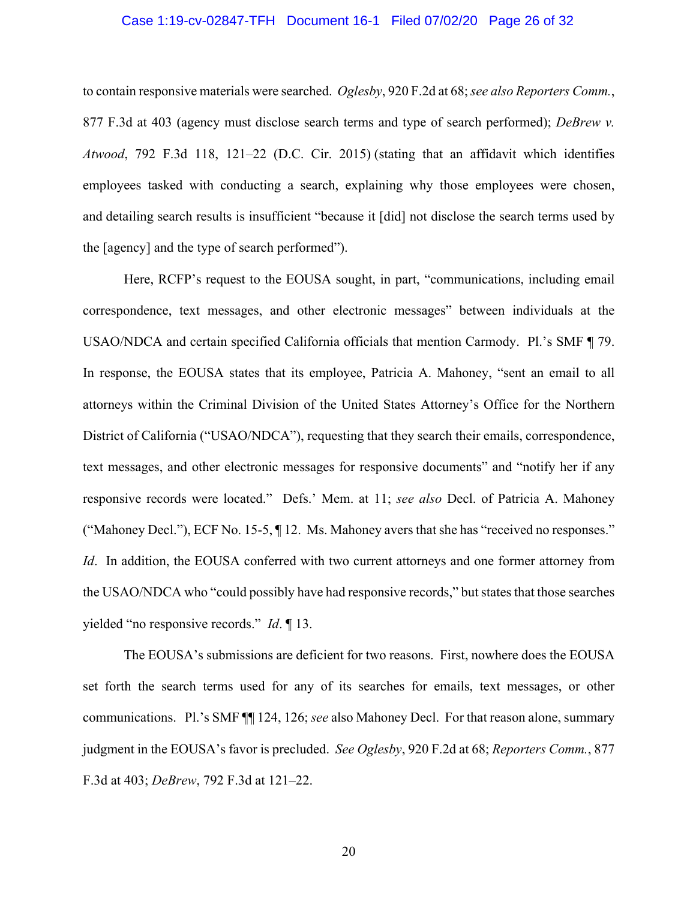## Case 1:19-cv-02847-TFH Document 16-1 Filed 07/02/20 Page 26 of 32

to contain responsive materials were searched. *Oglesby*, 920 F.2d at 68; *see also Reporters Comm.*, 877 F.3d at 403 (agency must disclose search terms and type of search performed); *DeBrew v. Atwood*, 792 F.3d 118, 121–22 (D.C. Cir. 2015) (stating that an affidavit which identifies employees tasked with conducting a search, explaining why those employees were chosen, and detailing search results is insufficient "because it [did] not disclose the search terms used by the [agency] and the type of search performed").

Here, RCFP's request to the EOUSA sought, in part, "communications, including email correspondence, text messages, and other electronic messages" between individuals at the USAO/NDCA and certain specified California officials that mention Carmody. Pl.'s SMF ¶ 79. In response, the EOUSA states that its employee, Patricia A. Mahoney, "sent an email to all attorneys within the Criminal Division of the United States Attorney's Office for the Northern District of California ("USAO/NDCA"), requesting that they search their emails, correspondence, text messages, and other electronic messages for responsive documents" and "notify her if any responsive records were located." Defs.' Mem. at 11; *see also* Decl. of Patricia A. Mahoney ("Mahoney Decl."), ECF No. 15-5, ¶ 12. Ms. Mahoney avers that she has "received no responses." *Id*. In addition, the EOUSA conferred with two current attorneys and one former attorney from the USAO/NDCA who "could possibly have had responsive records," but states that those searches yielded "no responsive records." *Id*. ¶ 13.

The EOUSA's submissions are deficient for two reasons. First, nowhere does the EOUSA set forth the search terms used for any of its searches for emails, text messages, or other communications. Pl.'s SMF ¶¶ 124, 126; *see* also Mahoney Decl. For that reason alone, summary judgment in the EOUSA's favor is precluded. *See Oglesby*, 920 F.2d at 68; *Reporters Comm.*, 877 F.3d at 403; *DeBrew*, 792 F.3d at 121–22.

20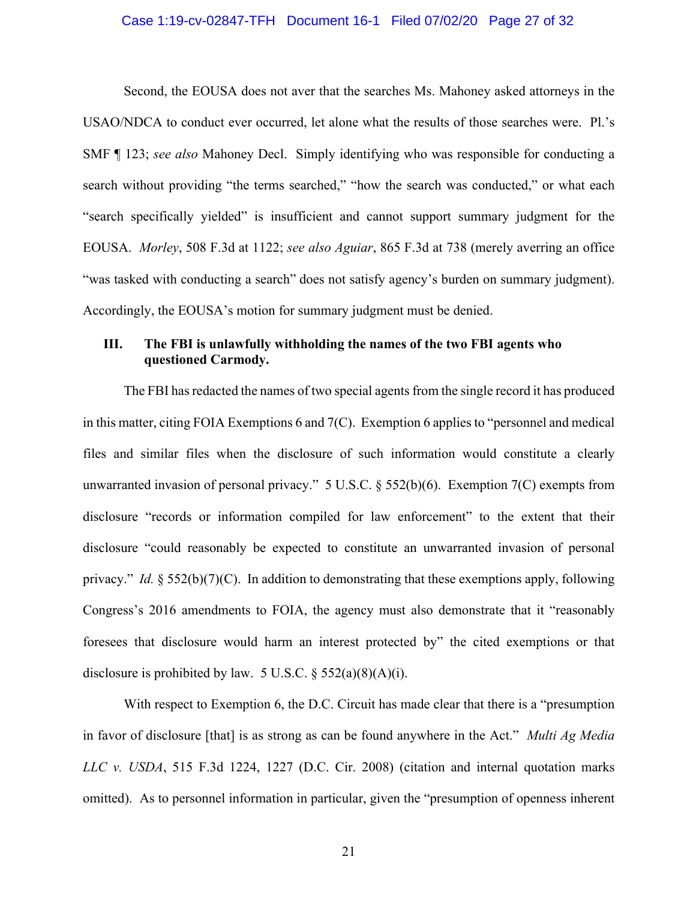## Case 1:19-cv-02847-TFH Document 16-1 Filed 07/02/20 Page 27 of 32

Second, the EOUSA does not aver that the searches Ms. Mahoney asked attorneys in the USAO/NDCA to conduct ever occurred, let alone what the results of those searches were. Pl.'s SMF ¶ 123; *see also* Mahoney Decl. Simply identifying who was responsible for conducting a search without providing "the terms searched," "how the search was conducted," or what each "search specifically yielded" is insufficient and cannot support summary judgment for the EOUSA. *Morley*, 508 F.3d at 1122; *see also Aguiar*, 865 F.3d at 738 (merely averring an office "was tasked with conducting a search" does not satisfy agency's burden on summary judgment). Accordingly, the EOUSA's motion for summary judgment must be denied.

# **III. The FBI is unlawfully withholding the names of the two FBI agents who questioned Carmody.**

The FBI has redacted the names of two special agents from the single record it has produced in this matter, citing FOIA Exemptions 6 and 7(C). Exemption 6 applies to "personnel and medical files and similar files when the disclosure of such information would constitute a clearly unwarranted invasion of personal privacy." 5 U.S.C. § 552(b)(6). Exemption 7(C) exempts from disclosure "records or information compiled for law enforcement" to the extent that their disclosure "could reasonably be expected to constitute an unwarranted invasion of personal privacy." *Id.* § 552(b)(7)(C). In addition to demonstrating that these exemptions apply, following Congress's 2016 amendments to FOIA, the agency must also demonstrate that it "reasonably foresees that disclosure would harm an interest protected by" the cited exemptions or that disclosure is prohibited by law. 5 U.S.C.  $\S$  552(a)(8)(A)(i).

With respect to Exemption 6, the D.C. Circuit has made clear that there is a "presumption" in favor of disclosure [that] is as strong as can be found anywhere in the Act." *Multi Ag Media LLC v. USDA*, 515 F.3d 1224, 1227 (D.C. Cir. 2008) (citation and internal quotation marks omitted). As to personnel information in particular, given the "presumption of openness inherent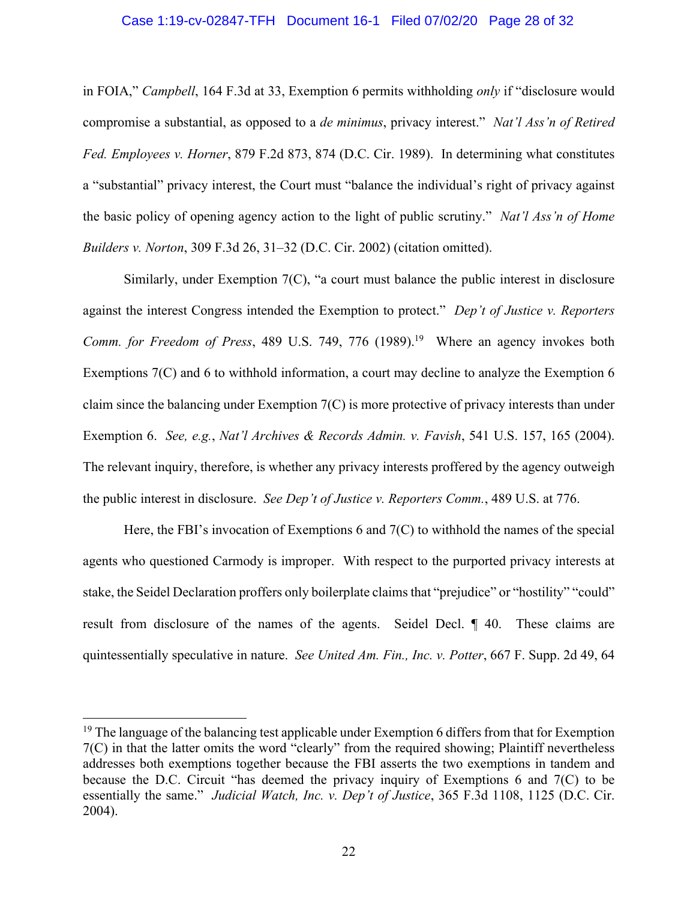## Case 1:19-cv-02847-TFH Document 16-1 Filed 07/02/20 Page 28 of 32

in FOIA," *Campbell*, 164 F.3d at 33, Exemption 6 permits withholding *only* if "disclosure would compromise a substantial, as opposed to a *de minimus*, privacy interest." *Nat'l Ass'n of Retired Fed. Employees v. Horner*, 879 F.2d 873, 874 (D.C. Cir. 1989). In determining what constitutes a "substantial" privacy interest, the Court must "balance the individual's right of privacy against the basic policy of opening agency action to the light of public scrutiny." *Nat'l Ass'n of Home Builders v. Norton*, 309 F.3d 26, 31–32 (D.C. Cir. 2002) (citation omitted).

Similarly, under Exemption 7(C), "a court must balance the public interest in disclosure against the interest Congress intended the Exemption to protect." *Dep't of Justice v. Reporters Comm. for Freedom of Press*, 489 U.S. 749, 776 (1989). 19 Where an agency invokes both Exemptions 7(C) and 6 to withhold information, a court may decline to analyze the Exemption 6 claim since the balancing under Exemption 7(C) is more protective of privacy interests than under Exemption 6. *See, e.g.*, *Nat'l Archives & Records Admin. v. Favish*, 541 U.S. 157, 165 (2004). The relevant inquiry, therefore, is whether any privacy interests proffered by the agency outweigh the public interest in disclosure. *See Dep't of Justice v. Reporters Comm.*, 489 U.S. at 776.

Here, the FBI's invocation of Exemptions 6 and  $7(C)$  to withhold the names of the special agents who questioned Carmody is improper. With respect to the purported privacy interests at stake, the Seidel Declaration proffers only boilerplate claims that "prejudice" or "hostility" "could" result from disclosure of the names of the agents. Seidel Decl. ¶ 40. These claims are quintessentially speculative in nature. *See United Am. Fin., Inc. v. Potter*, 667 F. Supp. 2d 49, 64

 $19$  The language of the balancing test applicable under Exemption 6 differs from that for Exemption 7(C) in that the latter omits the word "clearly" from the required showing; Plaintiff nevertheless addresses both exemptions together because the FBI asserts the two exemptions in tandem and because the D.C. Circuit "has deemed the privacy inquiry of Exemptions 6 and 7(C) to be essentially the same." *Judicial Watch, Inc. v. Dep't of Justice*, 365 F.3d 1108, 1125 (D.C. Cir. 2004).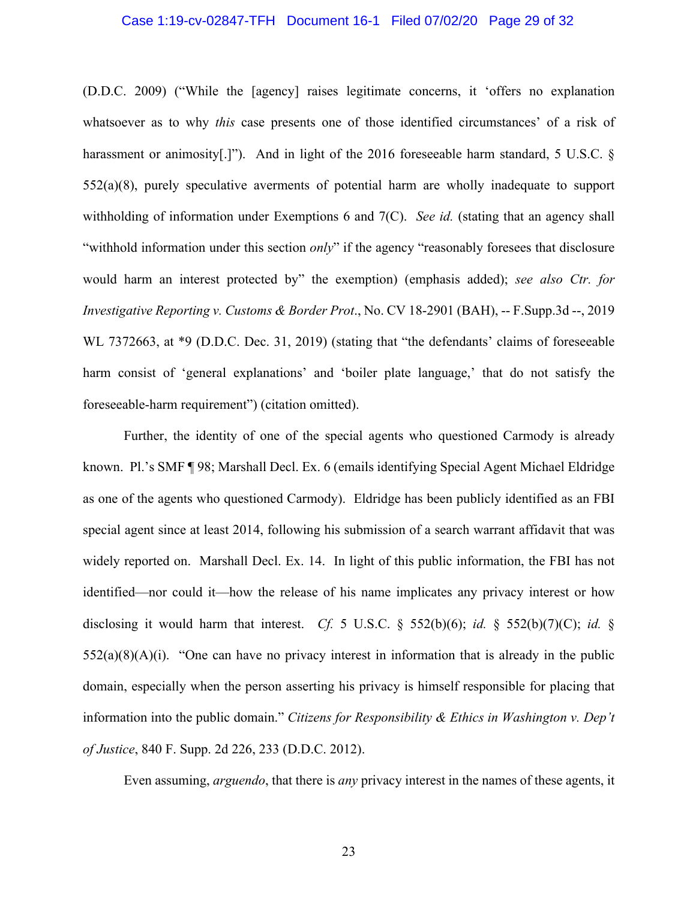## Case 1:19-cv-02847-TFH Document 16-1 Filed 07/02/20 Page 29 of 32

(D.D.C. 2009) ("While the [agency] raises legitimate concerns, it 'offers no explanation whatsoever as to why *this* case presents one of those identified circumstances' of a risk of harassment or animosity[.]"). And in light of the 2016 foreseeable harm standard, 5 U.S.C. § 552(a)(8), purely speculative averments of potential harm are wholly inadequate to support withholding of information under Exemptions 6 and 7(C). *See id.* (stating that an agency shall "withhold information under this section *only*" if the agency "reasonably foresees that disclosure would harm an interest protected by" the exemption) (emphasis added); *see also Ctr. for Investigative Reporting v. Customs & Border Prot*., No. CV 18-2901 (BAH), -- F.Supp.3d --, 2019 WL 7372663, at \*9 (D.D.C. Dec. 31, 2019) (stating that "the defendants' claims of foreseeable harm consist of 'general explanations' and 'boiler plate language,' that do not satisfy the foreseeable-harm requirement") (citation omitted).

Further, the identity of one of the special agents who questioned Carmody is already known. Pl.'s SMF ¶ 98; Marshall Decl. Ex. 6 (emails identifying Special Agent Michael Eldridge as one of the agents who questioned Carmody). Eldridge has been publicly identified as an FBI special agent since at least 2014, following his submission of a search warrant affidavit that was widely reported on. Marshall Decl. Ex. 14. In light of this public information, the FBI has not identified—nor could it—how the release of his name implicates any privacy interest or how disclosing it would harm that interest. *Cf.* 5 U.S.C. § 552(b)(6); *id.* § 552(b)(7)(C); *id.* §  $552(a)(8)(A)(i)$ . "One can have no privacy interest in information that is already in the public domain, especially when the person asserting his privacy is himself responsible for placing that information into the public domain." *Citizens for Responsibility & Ethics in Washington v. Dep't of Justice*, 840 F. Supp. 2d 226, 233 (D.D.C. 2012).

Even assuming, *arguendo*, that there is *any* privacy interest in the names of these agents, it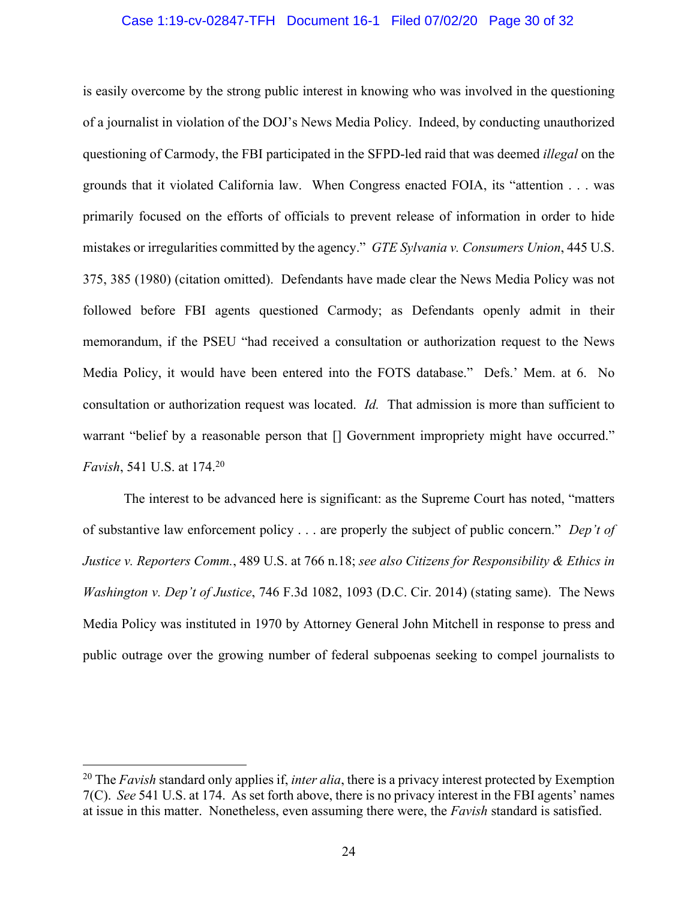## Case 1:19-cv-02847-TFH Document 16-1 Filed 07/02/20 Page 30 of 32

is easily overcome by the strong public interest in knowing who was involved in the questioning of a journalist in violation of the DOJ's News Media Policy. Indeed, by conducting unauthorized questioning of Carmody, the FBI participated in the SFPD-led raid that was deemed *illegal* on the grounds that it violated California law. When Congress enacted FOIA, its "attention . . . was primarily focused on the efforts of officials to prevent release of information in order to hide mistakes or irregularities committed by the agency." *GTE Sylvania v. Consumers Union*, 445 U.S. 375, 385 (1980) (citation omitted). Defendants have made clear the News Media Policy was not followed before FBI agents questioned Carmody; as Defendants openly admit in their memorandum, if the PSEU "had received a consultation or authorization request to the News Media Policy, it would have been entered into the FOTS database." Defs.' Mem. at 6. No consultation or authorization request was located. *Id.* That admission is more than sufficient to warrant "belief by a reasonable person that  $\Box$  Government impropriety might have occurred." *Favish*, 541 U.S. at 174. 20

The interest to be advanced here is significant: as the Supreme Court has noted, "matters of substantive law enforcement policy . . . are properly the subject of public concern." *Dep't of Justice v. Reporters Comm.*, 489 U.S. at 766 n.18; *see also Citizens for Responsibility & Ethics in Washington v. Dep't of Justice*, 746 F.3d 1082, 1093 (D.C. Cir. 2014) (stating same). The News Media Policy was instituted in 1970 by Attorney General John Mitchell in response to press and public outrage over the growing number of federal subpoenas seeking to compel journalists to

<sup>20</sup> The *Favish* standard only applies if, *inter alia*, there is a privacy interest protected by Exemption 7(C). *See* 541 U.S. at 174. As set forth above, there is no privacy interest in the FBI agents' names at issue in this matter. Nonetheless, even assuming there were, the *Favish* standard is satisfied.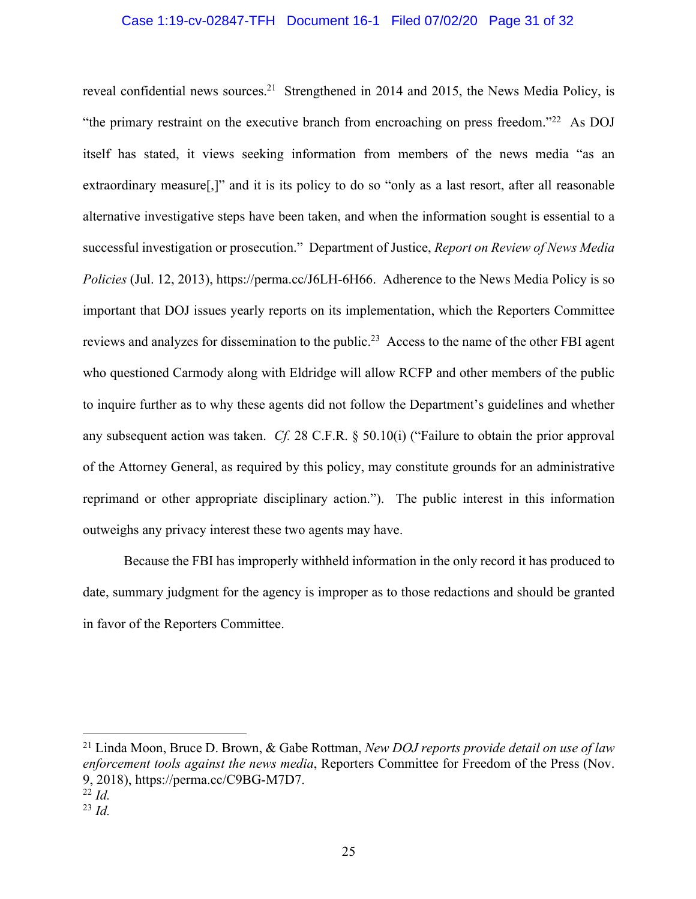## Case 1:19-cv-02847-TFH Document 16-1 Filed 07/02/20 Page 31 of 32

reveal confidential news sources.<sup>21</sup> Strengthened in 2014 and 2015, the News Media Policy, is "the primary restraint on the executive branch from encroaching on press freedom."<sup>22</sup> As DOJ itself has stated, it views seeking information from members of the news media "as an extraordinary measure[,]" and it is its policy to do so "only as a last resort, after all reasonable alternative investigative steps have been taken, and when the information sought is essential to a successful investigation or prosecution." Department of Justice, *Report on Review of News Media Policies* (Jul. 12, 2013), https://perma.cc/J6LH-6H66. Adherence to the News Media Policy is so important that DOJ issues yearly reports on its implementation, which the Reporters Committee reviews and analyzes for dissemination to the public.23 Access to the name of the other FBI agent who questioned Carmody along with Eldridge will allow RCFP and other members of the public to inquire further as to why these agents did not follow the Department's guidelines and whether any subsequent action was taken. *Cf.* 28 C.F.R. § 50.10(i) ("Failure to obtain the prior approval of the Attorney General, as required by this policy, may constitute grounds for an administrative reprimand or other appropriate disciplinary action."). The public interest in this information outweighs any privacy interest these two agents may have.

Because the FBI has improperly withheld information in the only record it has produced to date, summary judgment for the agency is improper as to those redactions and should be granted in favor of the Reporters Committee.

<sup>21</sup> Linda Moon, Bruce D. Brown, & Gabe Rottman, *New DOJ reports provide detail on use of law enforcement tools against the news media*, Reporters Committee for Freedom of the Press (Nov. 9, 2018), https://perma.cc/C9BG-M7D7.

<sup>22</sup> *Id.*

<sup>23</sup> *Id.*